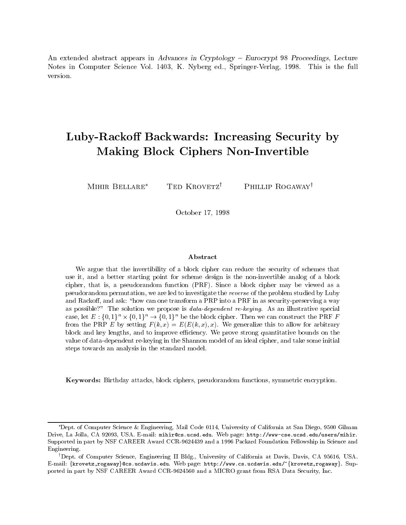An extended absolute appears in Advances in Cryptology - Matrix  $\mu$  , we are also always - Matrix -Notes in Computer Science Vol K Nyberg ed Springer Verlag -- This is the full version.

# Luby-Racko Backwards Increasing Security by Making Block Ciphers Non-Invertible

MIHIR BELLARE\*

TED  $KROVETZ^{\dagger}$  Phillip ROGAWAY<sup>†</sup>

October --

### Abstract

We argue that the invertibility of a block cipher can reduce the security of schemes that use it, when it design starting point for starting analog of and more continuous measure  $\pi$  be a block of a cipher- that is- a pseudorandom function PRF Since a block cipher may be viewed as a permutation- permutation- permutation- permutation- permutation- problem studies by Luby and problem studies o and Racko- and ask how can one transform a PRP into a PRF in as securitypreserving a way as possible we propose is propose in illustrative special and illustrative special and interesting the propose case, let  $E: \{0,1\}^n \times \{0,1\}^n \to \{0,1\}^n$  be the block cipher. Then we can construct the PRF F  $\mathbf{r}_1$  and  $\mathbf{r}_2$  are  $\mathbf{r}_2$  this to allow for all  $\mathbf{r}_2$  are allowed the arbitrary for a substituting to a substituting  $\mathbf{r}_1$ block and to improve to improve the to improve the strong quantities on the strong strong on the strong on the value of data dependent rekeying in the Shannon model of an ideal city in the Shannon model city is an ideal c steps towards an analysis in the standard model

Keywords- Birthday attacks- block ciphers- pseudorandom functions- symmetric encryption

Dept. of Computer Science & Engineering, Mail Code 0114, University of California at San Diego, 9500 Gilman as drive La John Carry La John Carry Mariae Carry La John La John La John La John La John La John La John La J Supported in part by NSF CAREER Award CCR and a Packard Foundation Fellowship in Science and Engineering-

Dept. of Computer Science, Engineering II Bldg., University of California at Davis, Davis, CA 95016, USA. E-mail: {krovetz,rogaway}@cs.ucdavis.edu. Web page: http://www.cs.ucdavis.edu/~{krovetz,rogaway}. Supported in part by NSF CAREER Award CCR and a MICRO grant from RSA Data Security Inc-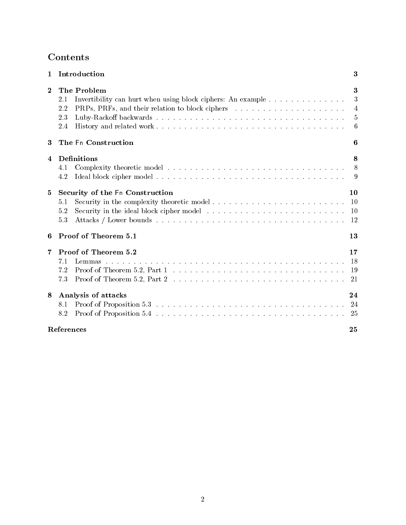| $\mathbf{1}$ | Introduction                                                                                                                                                                              | 3                     |
|--------------|-------------------------------------------------------------------------------------------------------------------------------------------------------------------------------------------|-----------------------|
| $\bf{2}$     | The Problem<br>Invertibility can hurt when using block ciphers: An example $\dots \dots \dots \dots \dots$<br>2.1<br>PRPs, PRFs, and their relation to block ciphers<br>2.2<br>2.3<br>2.4 | 3<br>3<br>4<br>5<br>6 |
| 3            | The Fn Construction                                                                                                                                                                       | 6                     |
| 4            | Definitions<br>4.1<br>4.2                                                                                                                                                                 | 8<br>8<br>9           |
| 5            | Security of the Fn Construction<br>5.1<br>5.2<br>5.3                                                                                                                                      | 10<br>-10<br>10<br>12 |
| 6            | Proof of Theorem 5.1                                                                                                                                                                      | 13                    |
| 7            | Proof of Theorem 5.2<br>7.1<br>7.2<br>7.3                                                                                                                                                 | 17<br>18<br>19<br>21  |
| 8            | Analysis of attacks<br>8.1<br>8.2                                                                                                                                                         | 24<br>24<br>25        |
|              | <b>References</b>                                                                                                                                                                         | 25                    |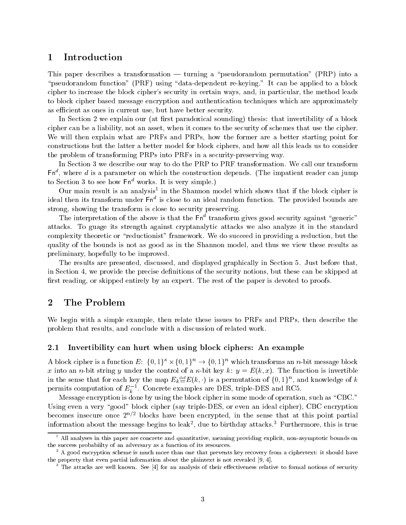### $\mathbf 1$ Introduction

This paper describes a transformation  $-$  turning a "pseudorandom permutation" (PRP) into a pseudorandom function present and dependent represented to a block of the present of the block of the block of cipher to increase the block cipher's security in certain ways, and, in particular, the method leads to block cipher based message encryption and authentication techniques which are approximately as efficient as ones in current use, but have better security.

In Section 2 we explain our (at first paradoxical sounding) thesis: that invertibility of a block cipher can be a liability not an asset when it comes to the security of schemes that use the cipher We will then explain what are PRFs and PRPs how the former are a better starting point for constructions but the latter a better model for block ciphers and how all this leads us to consider the problem of transforming PRPs into PRFs in a security preserving way

In Section 3 we describe our way to do the PRP to PRF transformation. We call our transform  $\mathsf{r}\mathsf{n}$  , where  $a$  is a parameter on which the construction depends. The impatient reader can jump to Section 3 to see how  $\mathsf{Fn}^d$  works. It is very simple.)

Our main result is an analysis<sup>-</sup> in the Shannon model which shows that if the block cipher is ideal then its transform under Fn° is close to an ideal random function. The provided bounds are strong, showing the transform is close to security preserving.

The interpretation of the above is that the Fn $\degree$  transform gives good security against "generic" attacks To guage its strength against cryptanalytic attacks we also analyze it in the standard complexity theoretic or "reductionist" framework. We do succeed in providing a reduction, but the quality of the bounds is not as good as in the Shannon model and thus we view these results as preliminary, hopefully to be improved.

The results are presented, discussed, and displayed graphically in Section 5. Just before that. in Section 4, we provide the precise definitions of the security notions, but these can be skipped at first reading, or skipped entirely by an expert. The rest of the paper is devoted to proofs.

# 2 The Problem

We begin with a simple example, then relate these issues to PRFs and PRPs, then describe the problem that results and conclude with a discussion of related work

### $2.1$ Invertibility can hurt when using block ciphers: An example

A block cipher is a function  $E: \{0,1\}^{\kappa} \times \{0,1\}^n \to \{0,1\}^n$  which transforms an n-bit message block  $\alpha$  into an an interpretible control of a string  $\alpha$  , and  $\alpha$  in  $\alpha$  in  $\alpha$  in the function is invertible. in the sense that for each key the map  $E_k {\triangleq} E(k, \cdot)$  is a permutation of  $\{0, 1\}^n$ , and knowledge of  $k$ permits computation of  $E_b$  . Concrete examples are DES, triple-DES and RC5.

Message encryption is done by using the block cipher in some mode of operation such as CBC Using even a very good block cipher say triple DES or even an ideal cipher CBC encryption becomes insecure once 2 + - blocks have been encrypted, in the sense that at this point partial information about the message begins to leak-, que to birthday attacks. Furthermore, this is true

All analyses in this paper are concrete and quantitative, meaning providing explicit, non-asymptotic bounds on the success probabiilty of an adversary as a function of its resources-

A good encryption scheme is much more than one that prevents key recovery from a ciphertext it should have the property that even partial information about the plaintext is not revealed  $[9, 4]$ .

The attacks are well known. See  $\left|4\right|$  for an analysis of their effectiveness relative to formal notions of security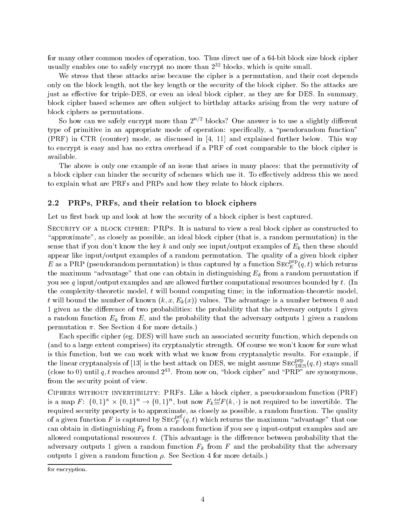for many other common modes of operation too Thus direct use of a bit block size block cipher usually enables one to safely encrypt no more than  $2^{++}$  plocks, which is quite small.

We stress that these attacks arise because the cipher is a permutation, and their cost depends only on the block length, not the key length or the security of the block cipher. So the attacks are just as eective for triple DES or even an ideal block cipher as they are for DES In summary block cipher based schemes are often subject to birthday attacks arising from the very nature of block ciphers as permutations

So now can we safely encrypt more than  $Z^{\gamma-}$  blocks: One answer is to use a slightly different type of primitive in an appropriate mode of operation: specifically, a "pseudorandom function"  $(PRF)$  in CTR (counter) mode, as discussed in  $[4, 11]$  and explained further below. This way to encrypt is easy and has no extra overhead if a PRF of cost comparable to the block cipher is available

The above is only one example of an issue that arises in many places: that the permutivity of a block cipher can hinder the security of schemes which use it. To effectively address this we need to explain what are PRFs and PRPs and how they relate to block ciphers

### 2.2 PRPs, PRFs, and their relation to block ciphers

Let us first back up and look at how the security of a block cipher is best captured.

Security of a block cipher- PRPs It is natural to view a real block cipher as constructed to "approximate", as closely as possible, an ideal block cipher (that is, a random permutation) in the sense that if you don't know the key k and only see input/output examples of  $E_k$  then these should appear like input/output examples of a random permutation. The quality of a given block cipher  $E$  as a PRP (pseudorandom permutation) is thus captured by a function SEC  $_{E}^{c_{F}^{+}}(q,t)$  which returns the maximum "advantage" that one can obtain in distinguishing  $E_k$  from a random permutation if you see q input/output examples and are allowed further computational resources bounded by t. (In the complexity theoretic model t will bound computing time in the information theoretic model  $\begin{pmatrix} 1 & 1 & 1 & 0 \end{pmatrix}$ 1 given as the difference of two probabilities: the probability that the adversary outputs 1 given a random function  $E_k$  from E, and the probability that the adversary outputs 1 given a random permutation  $\pi$ . See Section 4 for more details.)

Each specific cipher (eg. DES) will have such an associated security function, which depends on (and to a large extent comprises) its cryptanalytic strength. Of course we won't know for sure what is this function, but we can work with what we know from cryptanalytic results. For example, if the linear cryptanalysis of [13] is the best attack on DES, we might assume  $\text{SEC}_{\text{DES}}^{\text{r}}(q,t)$  stays small (close to  $\sigma$ ) until  $q, \iota$  reaches around  $\varphi^{\perp}$ . From now on, block cipher and PRP are synonymous, from the security point of view

Ciphers without invertibility- PRFs Like a block cipher a pseudorandom function PRF is a map  $F: \{0,1\}^{\kappa} \times \{0,1\}^n \to \{0,1\}^n$ , but now  $F_k {\stackrel{\text{def}}{=}} F(k, \cdot)$  is not required to be invertible. The required security property is to approximate, as closely as possible, a random function. The quality of a given function F is captured by  $\text{SEC}_F^{\text{--}}\left( q,t\right)$  which returns the maximum "advantage" that one can obtained in distinguishing  $\sim$  words are a random function if you see and you seek and are the computer and a allowed computational resources  $t$ . (This advantage is the difference between probability that the adversary outputs 1 given a random function  $F_k$  from F and the probability that the adversary outputs 1 given a random function  $\rho$ . See Section 4 for more details.)

for encryption.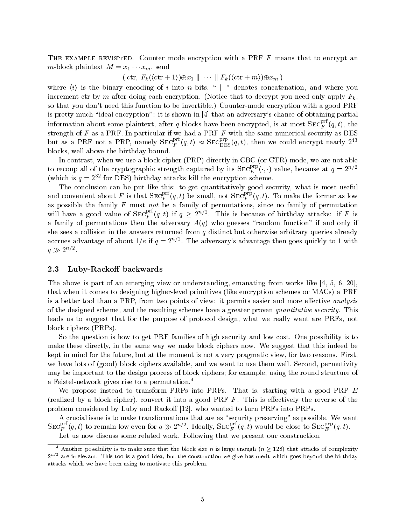THE EXAMPLE REVISITED. Counter mode encryption with a PRF  $F$  means that to encrypt an *m*-block plaintext  $m = x_1 \cdots x_m$ , send

 $(\text{ctr. } F_k(\langle \text{ctr } +1\rangle) \oplus x_1 \parallel \cdots \parallel F_k(\langle \text{ctr } +m\rangle) \oplus x_m)$ 

where  $\langle i \rangle$  is the binary encoding of i into n bits, " || " denotes concatenation, and where you increment ctr by m after doing each encryption. (Notice that to decrypt you need only apply  $F_k$ . so that you dont need this function to be invertible Counter mode encryption with a good PRF is pretty much "ideal encryption": it is shown in [4] that an adversary's chance of obtaining partial information about some plaintext, after  $q$  blocks have been encrypted, is at most  $\text{SEC}_F^{\leftarrow}(q,t),$  the strength of  $F$  as a PRF. In particular if we had a PRF  $F$  with the same numerical security as DES but as a PRF not a PRP, namely  $\text{SEC}_{F}^{r}(q,t) \approx \text{SEC}_{\text{DES}}^{r}(q,t)$ , then we could encrypt nearly  $2^{r_0}$ blocks, well above the birthday bound.

In contrast, when we use a block cipher (PRP) directly in CBC (or CTR) mode, we are not able to recoup all of the cryptographic strength captured by its  $\text{SEC}_{E}^{r}( \cdot, \cdot)$  value, because at  $q=2^{n/2}$ (which is  $q = 2$  for DES) birthday attacks kill the encryption scheme.

The conclusion can be put like this to get quantitatively good security what is most useful and convenient about F is that  $\text{SE}^{r}_{F}(q,t)$  be small, not  $\text{SE}^{r}_{F}(q,t)$ . To make the former as low as possible the family  $F$  must not be a family of permutations since no family of permutations  $\mathcal{F}$ will have a good value of  $\text{SEC}_{F}^{\text{en}}(q,t)$  if  $q \geq 2^{n/2}$ . This is because of birthday attacks: if F is a family of permutations then the adversary  $A(q)$  who guesses "random function" if and only if she sees a collision in the answers returned from  $q$  distinct but otherwise arbitrary queries already accrues advantage of about 1/*e* if  $q = \text{2}^{n}$  . The adversary's advantage then goes quickly to 1 with  $q \gg 2^{n/2}$ .

#### 2.3 Luby-Rackoff backwards

The above is part of an emerging view or understanding, emanating from works like [4, 5, 6, 20]. that when it comes to designing higher level primitives like encryption schemes or MACs a PRF is a better tool than a PRP, from two points of view: it permits easier and more effective *analysis* of the designed scheme, and the resulting schemes have a greater proven quantitative security. This leads us to suggest that for the purpose of protocol design, what we really want are PRFs, not block ciphers (PRPs).

So the question is how to get PRF families of high security and low cost. One possibility is to make these directly in the same way we make block ciphers now We suggest that this indeed be kept in mind for the future, but at the moment is not a very pragmatic view, for two reasons. First, we have lots of (good) block ciphers available, and we want to use them well. Second, permutivity may be important to the design process of block ciphers; for example, using the round structure of a Feistel network gives rise to a permutation

We propose instead to transform PRPs into PRFs. That is, starting with a good PRP  $E$ (realized by a block cipher), convert it into a good PRF  $F$ . This is effectively the reverse of the problem considered by Luby and Rackoff  $[12]$ , who wanted to turn PRFs into PRPs.

A crucial issue is to make transformations that are as security preserving as possible We want  $\text{SEC}^{\text{per}}_F(q,t)$  to remain low even for  $q \gg 2^{n/2}$ . Ideally,  $\text{SEC}^{\text{per}}_F(q,t)$  would be close to  $\text{SEC}^{\text{per}}_F(q,t)$ .

Let us now discuss some related work. Following that we present our construction.

<sup>&</sup>lt;sup>4</sup> Another possibility is to make sure that the block size n is large enough ( $n \ge 128$ ) that attacks of complexity 277 are irrelevant. This too is a good idea, but the construction we give has merit which goes beyond the birthday attacks which we have been using to motivate this problem-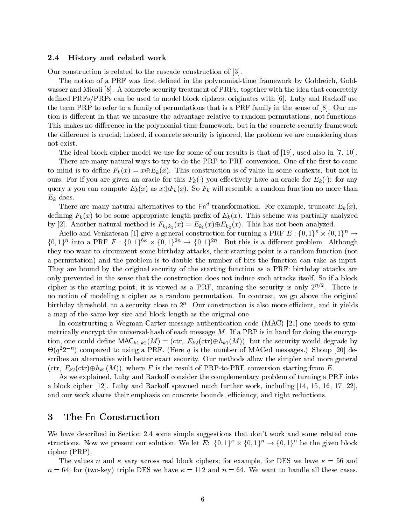#### $2.4$  History and related work

Our construction is related to the cascade construction of 

The notion of a PRF was rst dened in the polynomial time framework by Goldreich Gold wasser and Micali [8]. A concrete security treatment of PRFs, together with the idea that concretely defined PRFs/PRPs can be used to model block ciphers, originates with  $[6]$ . Luby and Rackoff use the term PRP to refer to a family of permutations that is a PRF family in the sense of  $[8]$ . Our notion is different in that we measure the advantage relative to random permutations, not functions. time framework but in the polynomial time framework but in the concrete time of the concrete time  $\mathcal{L}_\mathbf{z}$ the difference is crucial; indeed, if concrete security is ignored, the problem we are considering does not exist

the ideal block cipher model we use for some of our results is that of -  $\sim$  -  $\sim$   $\sim$   $\sim$   $\sim$   $\sim$   $\sim$   $\sim$ 

There are many natural ways to try to do the PRP to PRF conversion One of the rst to come to mind is to define  $F_k(x) = x \oplus E_k(x)$ . This construction is of value in some contexts, but not in ours. For if you are given an oracle for this  $F_k(\cdot)$  you effectively have an oracle for  $E_k(\cdot)$ : for any query x you can compute  $E_k(x)$  as  $x \oplus F_k(x)$ . So  $F_k$  will resemble a random function no more than  $E_k$  does.

There are many natural alternatives to the Fn<sup>o</sup> transformation. For example, truncate  $E_k(x)$ , dening Fkx to be some appropriate three was presented in Fkx to the scheme was particles was particles to be a by [2]. Another natural method is  $F_{k_1k_2}(x) = E_{k_1}(x) \oplus E_{k_2}(x)$ . This has not been analyzed.

Aiello and Venkatesan [1] give a general construction for turning a PRF  $E: \{0,1\}^\kappa \times \{0,1\}^n \to$  $\{0,1\}^n$  into a PRF  $F: \{0,1\}^{6\kappa} \times \{0,1\}^{2n} \to \{0,1\}^{2n}$ . But this is a different problem. Although they too want to circumvent some birthday attacks, their starting point is a random function (not a permutation) and the problem is to double the number of bits the function can take as input. They are bound by the original security of the starting function as a PRF: birthday attacks are only prevented in the sense that the construction does not induce such attacks itself. So if a block cipher is the starting point, it is viewed as a PRF, inealling the security is only  $2^+$  . There is no notion of modeling a cipher as a random permutation. In contrast, we go above the original birthday threshold, to a security close to  $2^\circ$ . Our construction is also more emclent, and it yields a map of the same key size and block length as the original one

In constructing a Wegman Carter message authentication code MAC  one needs to sym metrically the sale  $\mu$  is the universal message message  $\mu$  and is in the encryption of the encry  $\mu$ tion, one could define  $\mathsf{MAC}_{k1,k2}(M) = (\text{ctr},\ E_{k2}(\text{ctr})\oplus h_{k1}(M)),$  but the security would degrade by  $\Theta(q^{-}2^{-\alpha})$  compared to using a PRF. (Here q is the number of MACed messages.) Shoup [20] describes an alternative with better exact security Our methods allow the simpler and more general (ctr,  $F_{k2}(\text{ctr}) \oplus h_{k1}(M)$ ), where F is the result of PRP-to-PRF conversion starting from E.

As we explained, Luby and Rackoff consider the complementary problem of turning a PRF into a block cipher  $[12]$ . Luby and Rackoff spawned much further work, including  $[14, 15, 16, 17, 22]$ , and our work shares their emphasis on concrete bounds, efficiency, and tight reductions.

# The Fn Construction

We have described in Section 2.4 some simple suggestions that don't work and some related constructions. Now we present our solution. We let  $E: \{0,1\}^{\kappa} \times \{0,1\}^n \to \{0,1\}^n$  be the given block  $cipher (PRP).$ 

The values n and  $\kappa$  vary across real block ciphers; for example, for DES we have  $\kappa = 56$  and n and the two cases we have the cases of the case of the second to the case cases the case of the cases of the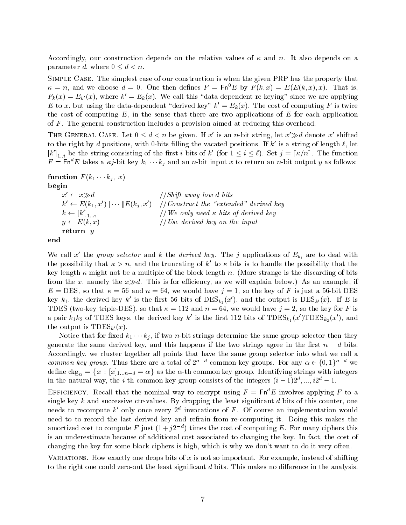Accordingly, our construction depends on the relative values of  $\kappa$  and n. It also depends on a parameter d, where  $0 \leq d \leq n$ .

SIMPLE CASE. The simplest case of our construction is when the given PRP has the property that  $\kappa = n$ , and we choose  $a = 0$ . One then defines  $F = \text{Fn}[E]$  by  $F(k, x) = E(E(k, x), x)$ . That is,  $r_k(x) = E_{k'}(x)$ , where  $\kappa' = E_k(x)$ . We call this claud-dependent re-keying since we are applying  $E$  to x, but using the data-dependent derived key  $\kappa = E_k(x)$ . The cost of computing F is twice the cost of computing  $E$ , in the sense that there are two applications of  $E$  for each application of  $F$ . The general construction includes a provision aimed at reducing this overhead.

THE GENERAL CASE. Let  $0 \le d \le n$  be given. If x' is an n-bit string, let  $x' \gg d$  denote x' shifted to the right by a positions, with 0-bits milling the vacated positions. If  $\kappa$  is a string of length  $\ell$ , let  $[k']_{1,i}$  be the string consisting of the first i bits of k' (for  $1 \le i \le \ell$ ). Set  $j = \lceil \kappa/n \rceil$ . The function  $F = \texttt{Fn} \cap E$  takes a  $\kappa_j$ -bit key  $\kappa_1 \cdots \kappa_j$  and an  $n$ -bit input  $x$  to return an  $n$ -bit output  $y$  as follows:

**function**  $F(k_1 \cdots k_j, x)$ begin

 $x' \leftarrow x \gg d$  $1/Shift$  away low d bits  $k' \leftarrow E(k_1, x') \Vert \cdots \Vert E(k_i, x') \quad // \textit{Construct the "extended" derived key}$  $k \leftarrow [k']_{1 \dots \kappa}$  $\frac{1}{\sqrt{W}}$  only need  $\kappa$  bits of derived key  $y \leftarrow E(k, x)$  $\frac{1}{\sqrt{U}}$  Use derived key on the input return y



We call x' the group selector and k the derived key. The j applications of  $E_{k_i}$  are to deal with the possibility that  $\kappa > n$ , and the truncating of k' to  $\kappa$  bits is to handle the possibility that the key length  $\kappa$  might not be a multiple of the block length n. (More strange is the discarding of bits from the x, namely the  $x\gg d$ . This is for efficiency, as we will explain below.) As an example, if <sup>E</sup> DES so that and <sup>n</sup> we would have j so the key of F is just a bit DES key  $\kappa_1$ , the derived key  $\kappa$  is the first 50 bits of DES $_{k_1}(x)$ , and the output is DES $_{k'}(x)$ . If E is TDES two key triple DES so that  and n we would have j  so the key for F is a pair  $\kappa_1 \kappa_2$  of TDES keys, the derived key  $\kappa$  is the first 112 bits of TDES $k_1(x)$ TDES $k_2(x)$ , and the output is TDESk- x

Notice that for fixed  $\kappa_1 \cdots \kappa_n$ , if two  $n$ -bit strings determine the same group selector then they generate the same derived key, and this happens if the two strings agree in the first  $n - d$  bits. Accordingly we cluster together all points that have the same group selector into what we call a *common key group*. Thus there are a total of  $2^{n-d}$  common key groups. For any  $\alpha \in \{0,1\}^{n-d}$  we define  $\text{ckg}_{\alpha} = \{x : [x]_{1...n-d} = \alpha\}$  as the  $\alpha$ -th common key group. Identifying strings with integers in the natural way, the *i*-th common key group consists of the integers  $(i = 1/2^{\circ}, ..., i2^{\circ} = 1.$ 

EFFICIENCY. Recall that the nominal way to encrypt using  $F = \mathsf{Fn}^d E$  involves applying F to a single key k and successive ctr values By dropping the least signicant d bits of this counter one needs to recompute  $\kappa$  only once every  $\textit{z}^{\bot}$  invocations of  $\textit{r}$  . Of course an implementation would need to to record the last derived key and refrain from re computing it Doing this makes the amortized cost to compute  $F$  just  $(1 + 2e^{-\tau})$  times the cost of computing  $E$ . For many ciphers this is an underestimate because of additional cost associated to changing the key. In fact, the cost of changing the key for some block ciphers is high, which is why we don't want to do it very often.

VARIATIONS. How exactly one drops bits of x is not so important. For example, instead of shifting to the right one could zero out the least signicant d bits This makes no dierence in the analysis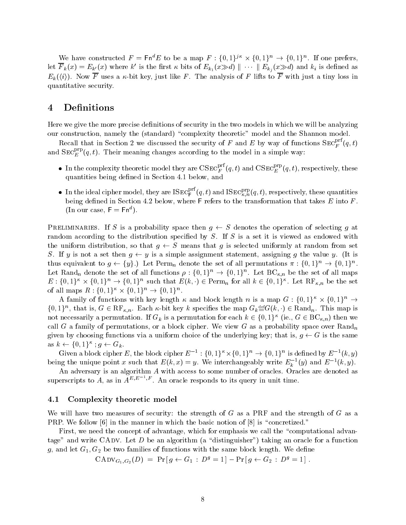We have constructed  $F = \mathsf{Fn}^a E$  to be a map  $F : \{0,1\}^{j\kappa} \times \{0,1\}^n \to \{0,1\}^n$ . If one prefers, let  $F_k(x) = E_{k'}(x)$  where  $k'$  is the first  $\kappa$  bits of  $E_{k_1}(x \gg d) \parallel \cdots \parallel E_{k_i}(x \gg d)$  and  $k_i$  is defined as  $E_k(\langle i \rangle)$ . Now F uses a  $\kappa$ -bit key, just like F. The analysis of F lifts to F with just a tiny loss in quantitative security

# 4 Definitions

Here we give the more precise definitions of security in the two models in which we will be analyzing our construction, namely the (standard) "complexity theoretic" model and the Shannon model.

Recall that in Section 2 we discussed the security of F and E by way of functions  $\text{SEC}_F^+(q,t)$ and  $\text{SEC}_{E}^{+}(q,t)$ . Their meaning changes according to the model in a simple way:

- $\bullet$  In the complexity theoretic model they are  $\mathrm{CSEC}^{F^-(q,t)}_F(q,t)$  and  $\mathrm{CSEC}^{F^-F}_F(q,t),$  respectively, these quantities being defined in Section 4.1 below, and
- $\bullet$  In the ideal cipher model, they are ISEC  $_{\mathsf{F}}^{\mathsf{c} \mathsf{r}}(q,t)$  and ISEC  $_{\kappa,n}^{\mathsf{c},p}(q,t),$  respectively, these quantities  $\text{(In our case, } \mathsf{F} = \mathsf{Fn}^d).$

PRELIMINARIES. If S is a probability space then  $q \leftarrow S$  denotes the operation of selecting q at random according to the distribution specified by  $S$ . If  $S$  is a set it is viewed as endowed with the uniform distribution, so that  $q \leftarrow S$  means that  $q$  is selected uniformly at random from set S. If y is not a set then  $q \leftarrow y$  is a simple assignment statement, assigning q the value y. (It is thus equivalent to  $g \leftarrow \{y\}$ .) Let Perm<sub>n</sub> denote the set of all permutations  $\pi : \{0,1\}^n \rightarrow \{0,1\}^n$ . Let Rand<sub>n</sub> denote the set of all functions  $\rho: \{0,1\}^n \to \{0,1\}^n$ . Let  $\mathrm{BC}_{\kappa,n}$  be the set of all maps  $E: \{0,1\}^{\kappa} \times \{0,1\}^n \to \{0,1\}^n$  such that  $E(k, \cdot) \in \text{Perm}_n$  for all  $k \in \{0,1\}^{\kappa}$ . Let  $\text{RF}_{\kappa,n}$  be the set of all maps  $R: \{0,1\}^{\kappa} \times \{0,1\}^n \to \{0,1\}^n$ .

A family of functions with key length  $\kappa$  and block length  $n$  is a map  $G: \{0,1\}^\kappa \times \{0,1\}^n \to$  $\{0,1\}^n$ , that is,  $G \in \text{RF}_{\kappa,n}$ . Each  $\kappa$ -bit key k specifies the map  $G_k \stackrel{\text{def}}{=} G(k,\cdot) \in \text{Rand}_n$ . This map is not necessarily a permutation. If  $G_k$  is a permutation for each  $k \in \{0,1\}^{\kappa}$  (ie.,  $G \in \text{BC}_{\kappa,n}$ ) then we call G a family of permutations, or a block cipher. We view G as a probability space over  $\text{Rand}_n$ given by choosing functions via a uniform choice of the underlying key; that is,  $g \leftarrow G$  is the same as  $k \leftarrow \{0,1\}^{\kappa}$ ;  $g \leftarrow G_k$ .

Given a block cipher E, the block cipher  $E^{-1}:\{0,1\}^{\kappa}\times\{0,1\}^n\to\{0,1\}^n$  is defined by  $E^{-1}(k,y)$ being the unique point x such that  $E(k, x) = y$ . We interchangeably write  $E_k$  (y) and  $E^{-1}(k, y)$ .

An adversary is an algorithm A with access to some number of oracles  $\mathcal{A}$ superscripts to A, as in  $A^{E,E}$ ,  $F$ . An oracle responds to its query in unit time.

#### $4.1$ Complexity theoretic model

We will have two measures of security: the strength of  $G$  as a PRF and the strength of  $G$  as a PRP. We follow  $\left[6\right]$  in the manner in which the basic notion of  $\left[8\right]$  is "concretized."

First, we need the concept of advantage, which for emphasis we call the "computational advantage" and write CADV. Let D be an algorithm (a "distinguisher") taking an oracle for a function  $g$  and families of functions with the same block length  $\alpha$  functions with the same  $\alpha$  and  $\alpha$  denotes the same block length  $\alpha$ 

$$
CADV_{G_1,G_2}(D) = Pr[g \leftarrow G_1 : D^g = 1] - Pr[g \leftarrow G_2 : D^g = 1].
$$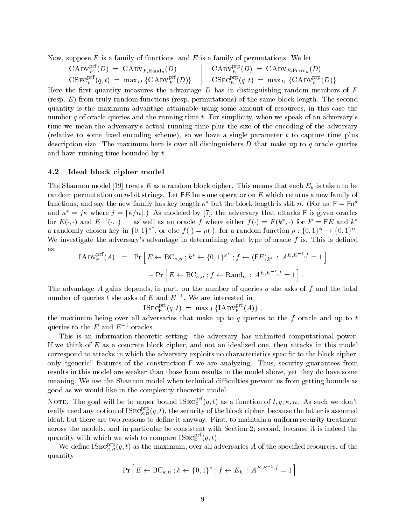Now, suppose  $F$  is a family of functions, and  $E$  is a family of permutations. We let

$$
\begin{array}{lcl} \mathrm{CADV}_{F}^{\mathrm{prf}}(D) & = & \mathrm{CADV}_{F,\mathrm{Rand}_n}(D) \\ \mathrm{CSEC}_{F}^{\mathrm{prf}}(q,t) & = & \mathrm{max}_{D} \ \{ \mathrm{CADV}_{F}^{\mathrm{prf}}(D) \} \end{array} \quad \middle| \quad \begin{array}{lcl} \mathrm{CADV}_{E}^{\mathrm{prp}}(D) & = & \mathrm{CADV}_{E,\mathrm{Perm}_n}(D) \\ & \mathrm{CSEC}_{E}^{\mathrm{prp}}(q,t) & = & \mathrm{max}_{D} \ \{ \mathrm{CADV}_{E}^{\mathrm{prp}}(D) \} \end{array}
$$

Here the first quantity measures the advantage  $D$  has in distinguishing random members of  $F$ (resp.  $E$ ) from truly random functions (resp. permutations) of the same block length. The second quantity is the maximum advantage attainable using some amount of resources in this case the number q of oracle queries and the running time t. For simplicity, when we speak of an adversary's time we mean the adversary's actual running time plus the size of the encoding of the adversary (relative to some fixed encoding scheme), so we have a single parameter  $t$  to capture time plus description size. The maximum here is over all distinguishers  $D$  that make up to  $q$  oracle queries and have running time bounded by  $t$ .

### 4.2 Ideal block cipher model

The Shannon model  $\mathbb F$  as a random block cipher This means that each Ek is taken to be a random block circuit  $\mathbb N$ random permutation on n bit strings Let FE be some operator on E which returns a new family of functions, and say the new family has key length  $\kappa^*$  but the block length is still n. (For us,  $F = Fn^d$ and  $\kappa^* = j\kappa$  where  $j = [\kappa/n]$ .) As modeled by [7], the adversary that attacks F is given oracles for  $E(\cdot, \cdot)$  and  $E^{-}(\cdot, \cdot)$   $\rightarrow$  as well as an oracle f where either  $f(\cdot) = F(k, \cdot)$  for  $F = \Gamma E$  and  $k$ a randomly chosen key in  $\{0,1\}^{\kappa^*}$ , or else  $f(\cdot) = \rho(\cdot)$ , for a random function  $\rho: \{0,1\}^n \to \{0,1\}^n$ . We investigate the adversary's advantage in determining what type of oracle  $f$  is. This is defined as

$$
IADV_F^{prf}(A) = Pr\left[E \leftarrow BC_{\kappa,n} ; k^* \leftarrow \{0,1\}^{\kappa^*} ; f \leftarrow (FE)_{k^*} : A^{E,E^{-1},f} = 1\right]
$$

$$
- Pr\left[E \leftarrow BC_{\kappa,n} ; f \leftarrow \text{Rand}_n : A^{E,E^{-1},f} = 1\right].
$$

The advantage A gains depends, in part, on the number of queries q she asks of f and the total number of queries t she asks of  $E$  and  $E^{-}$ . We are interested in

$$
\text{ISEC}_{\mathsf{F}}^{\text{prf}}(q,t) \; = \; \max_A \left\{ \text{IADV}_{\mathsf{F}}^{\text{prf}}(A) \right\} \, ,
$$

the maximum being over all adversaries that make up to q queries to the f oracle and up to  $t$ queries to the  $E$  and  $E$  - oracles.

the is the computation interaction adversary the adversary modernized computation powers. If we think of  $E$  as a concrete block cipher, and not an idealized one, then attacks in this model correspond to attacks in which the adversary exploits no characteristics specific to the block cipher. only "generic" features of the construction F we are analyzing. Thus, security guarantees from results in this model are weaker than those from results in the model above yet they do have some meaning. We use the Shannon model when technical difficulties prevent us from getting bounds as good as we would like in the complexity theoretic model

NOTE. The goal will be to upper bound  $1 \text{SEC}_\text{F}^+(q,t)$  as a function of  $t,q,\kappa,n$ . As such we don't really need any notion of  ${\tt IsEC}_{k,n}^{r,q}(q,t),$  the security of the block cipher, because the latter is assumed ideal, but there are two reasons to define it anyway. First, to maintain a uniform security treatment across the models, and in particular be consistent with Section 2; second, because it is indeed the quantity with which we wish to compare  $\text{ISEC}_{\mathsf{F}}^{r+}(q,t).$ 

We define  $\text{ISEC}_{k,n}^{-1}(q,t)$  as the maximum, over all adversaries A of the specified resources, of the quantity

$$
\Pr\left[E \leftarrow BC_{\kappa,n} \; ; k \leftarrow \{0,1\}^{\kappa} \; ; f \leftarrow E_k \; : \; A^{E,E^{-1},f} = 1\right]
$$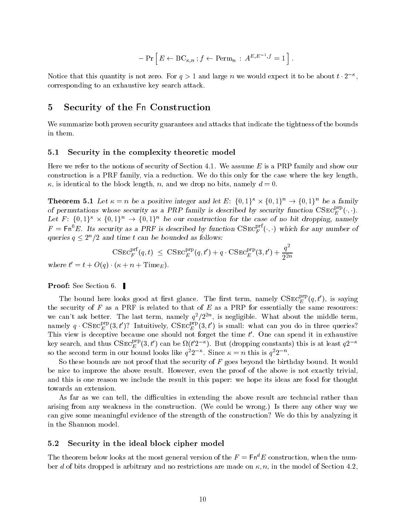$$
- \Pr \left[ E \leftarrow BC_{\kappa,n} ; f \leftarrow \text{Perm}_n : A^{E,E^{-1},f} = 1 \right].
$$

Notice that this quantity is not zero. For  $q > 1$  and large n we would expect it to be about  $t \cdot 2^{-\alpha}$ , corresponding to an exhaustive key search attack

### $\overline{5}$ Security of the Fn Construction

We summarize both proven security guarantees and attacks that indicate the tightness of the bounds in them

### Security in the complexity theoretic model

Here we refer to the notions of security of Section 4.1. We assume  $E$  is a PRP family and show our construction is a PRF family, via a reduction. We do this only for the case where the key length.  $\kappa$ , is identical to the block length, n, and we drop no bits, namely  $d = 0$ .

**Theorem 5.1** Let  $\kappa = n$  be a positive integer and let E:  $\{0,1\}^{\kappa} \times \{0,1\}^n \to \{0,1\}^n$  be a family of permutations whose security as a PRP family is described by security function  $CSE^{r}_{E}(\cdot, \cdot)$ . Let  $F: \{0,1\}^{\kappa} \times \{0,1\}^n \to \{0,1\}^n$  be our construction for the case of no bit dropping, namely  $F = \text{Fn}^*E$ . Its security as a PRF is described by function  $CSEC_F^-(\cdot, \cdot)$  which for any number of queries  $q \leq 2^n/2$  and time t can be bounded as follows:

$$
\mathrm{CSEC}^{\mathrm{prf}}_F(q,t) \ \leq \ \mathrm{CSEC}^{\mathrm{prp}}_E(q,t') + q \cdot \mathrm{CSEC}^{\mathrm{prp}}_E(3,t') + \frac{q^2}{2^{2n}}
$$

where  $t = t + O(q) \cdot (\kappa + n + 1)$  in eq. (

**Proof:** See Section 6.

The bound here looks good at first glance. The first term, namely  $\mathrm{CSEC}^{\mathrm{r}}_F(q,t')$ , is saying the security of F as a PRF is related to that of E as a PRP for essentially the same resources: we can't ask better. The last term, namely  $q^\tau/z^{-\tau}$ , is negligible. What about the middle term, namely  $q \cdot \text{CSEC}_{E}^{r}(3, t')$ ? Intuitively,  $\text{CSEC}_{E}^{r}(3, t')$  is small: what can you do in three queries? This view is deceptive because one should not forget the time t One can spend it in exhaustive key search, and thus  $\mathrm{CSEC}^{F \cdot F}_E(3,t')$  can be  $\Omega(t'2^{-\alpha}).$  But (dropping constants) this is at least  $q2^{-\alpha}$ so the second term in our bound looks like  $q$ - $z$  . Since  $\kappa = n$  this is  $q$ - $z$  .

So these bounds are not proof that the security of  $F$  goes beyond the birthday bound. It would be nice to improve the above result. However, even the proof of the above is not exactly trivial. and this is one reason we include the result in this paper: we hope its ideas are food for thought towards an extension

As far as we can tell, the difficulties in extending the above result are techncial rather than arising from any weakness in the construction. (We could be wrong.) Is there any other way we can give some meaningful evidence of the strength of the construction? We do this by analyzing it in the Shannon model

### Security in the ideal block cipher model

The theorem below looks at the most general version of the  $F = \text{Fn}^d E$  construction, when the number d of bits dropped is arbitrary and no restrictions are made on - n in the model of Section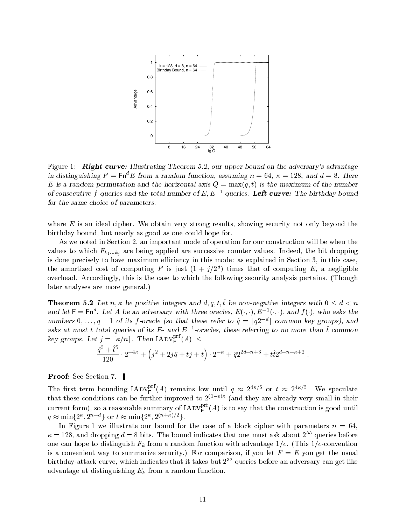

rigure 1. **Tught curve.** Inustrating Theorem 0.2, our upper bound on the adversary's advantage in distinguishing  $F = \text{Fn}^d E$  from a random function, assuming  $n = 64$ ,  $\kappa = 128$ , and  $d = 8$ . Here E is a random permutation and the maximum of the maximum of  $\mathbf{y}_i$  ,  $\mathbf{y}_i$  ,  $\mathbf{y}_i$  are numbered to the maximum of of consecutive  $\beta$ -queries and the total number of  $E, E = \eta$ ueries. Left curve: The birthday bound for the same choice of parameters

where  $E$  is an ideal cipher. We obtain very strong results, showing security not only beyond the birthday bound, but nearly as good as one could hope for.

As we noted in Section 2, an important mode of operation for our construction will be when the  $\alpha$  are being are being along along a proposition and successive counter values indeed the bit dropping  $\alpha$ is done precisely to have maximum efficiency in this mode: as explained in Section 3, in this case. the amortized cost of computing  $F$  is just  $(1 + \gamma/2)$  ) times that of computing  $E$ , a negligible overhead. Accordingly, this is the case to which the following security analysis pertains. (Though later analyses are more general

**Theorem 5.2** Let  $n, \kappa$  be positive integers and d, q, t, t be non-negative integers with  $0 \leq d \leq n$ and let  $\mathsf{F} = \mathsf{F} \mathsf{n}^*$ . Let A be an adversary with three oracles,  $E(\cdot, \cdot),$   $E^{-1}(\cdot, \cdot),$  and  $f(\cdot),$  who asks the numbers  $0, \ldots, q-1$  of its f-oracle (so that these refer to  $\hat{q} = \lceil q 2^{-d} \rceil$  common key groups), and asks at most t total queries of its  $E$ - and  $E$  --oracles, these referring to no more than t common key groups. Let  $j = \lceil \kappa/n \rceil$ . Then  $\text{IADV}_{\text{F}}^{\text{pri}}(A) \leq$ 

$$
\frac{\hat{q}^5 + \hat{t}^5}{120} \cdot 2^{-4\kappa} + \left(j^2 + 2j\hat{q} + tj + t\right) \cdot 2^{-\kappa} + \hat{q}2^{2d - n + 3} + t\hat{t}2^{d - n - \kappa + 2}.
$$

**Proof:** See Section 7.

The first term bounding  $\text{IADV}_{\text{F}}^{\text{rec}}(A)$  remains low until  $q \approx 2^{4n/9}$  or  $t \approx 2^{4n/9}$ . We speculate  $\frac{1}{100}$  these conditions can be further improved to  $Z^{s-1}, \cdots$  (and they are already very small in their current form), so a reasonable summary of IADV  $_{\rm f}^{\rm cr}(A)$  is to say that the construction is good until  $q \approx \min\{2^{\kappa}, 2^{n-d}\}\text{ or }t \approx \min\{2^{\kappa}, 2^{(n+\kappa)/2}\}.$ 

In Figure 1 we illustrate our bound for the case of a block cipher with parameters  $n = 64$ .  $\kappa = 128$ , and dropping  $d = 8$  bits. The bound indicates that one must ask about  $2^{55}$  queries before one can hope to distinguish Fk from a random function with advantage e This e convention is a convenient way to summarize security.) For comparison, if you let  $F = E$  you get the usual birthday-attack curve, which indicates that it takes but 2 – queries before an adversary can get like that the advantage at distinguishing  $E_k$  from a random function.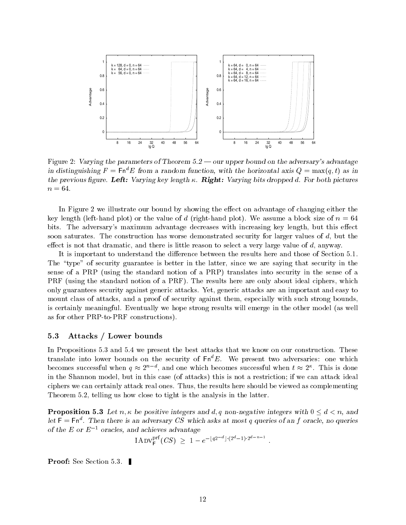

Figure 2: Varying the parameters of Theorem  $5.2$  — our upper bound on the adversary's advantage in distinguishing  $F = \textsf{Fn}^*E$  from a random function, with the horizontal axis  $Q = \max(q,t)$  as in  $\alpha$  , and previous  $\alpha$  and  $\alpha$  are  $\alpha$  in  $\alpha$  in  $\alpha$  bits dropped differences are previous  $\alpha$  and  $\alpha$  both  $\alpha$  $n = 64.$ 

In Figure 2 we illustrate our bound by showing the effect on advantage of changing either the key length left hand plot or the value of d right hand plot We assume a block size of n bits. The adversary's maximum advantage decreases with increasing key length, but this effect soon saturates. The construction has worse demonstrated security for larger values of  $d$ , but the effect is not that dramatic, and there is little reason to select a very large value of  $d$ , anyway.

It is important to understand the difference between the results here and those of Section 5.1. The "type" of security guarantee is better in the latter, since we are saying that security in the sense of a PRP (using the standard notion of a PRP) translates into security in the sense of a PRF (using the standard notion of a PRF). The results here are only about ideal ciphers, which only guarantees security against generic attacks Yet generic attacks are an important and easy to mount class of attacks, and a proof of security against them, especially with such strong bounds. is certainly meaningful. Eventually we hope strong results will emerge in the other model (as well as for other Press and Press constructions of the property of the property of the property of the property of

### Attacks / Lower bounds

In Propositions 5.3 and 5.4 we present the best attacks that we know on our construction. These translate into lower bounds on the security of  $\mathsf{Fn}^d E$ . We present two adversaries: one which becomes successful when  $q \approx 2^{\prime\prime}$ , and one which becomes successful when  $t \approx 2^{\prime\prime}$ . This is done in the Shannon model, but in this case (of attacks) this is not a restriction; if we can attack ideal ciphers we can certainly attack real ones. Thus, the results here should be viewed as complementing Theorem  $5.2$ , telling us how close to tight is the analysis in the latter.

**Proposition 5.3** Let n,  $\kappa$  be positive integers and d, q non-negative integers with  $0 \le d \le n$ , and let  $\mathsf{F} = \mathsf{F} \mathsf{n}$  . Then there is an adversary CS which asks at most q queries of an f oracle, no queries of the E or E- oracles and achieves advantage

$$
I \text{ADV}_{\mathsf{F}}^{\text{prf}}(CS) \geq 1 - e^{-\lfloor q2^{-d}\rfloor \cdot (2^d - 1) \cdot 2^{d - n - 1}}
$$

**Proof:** See Section 5.3.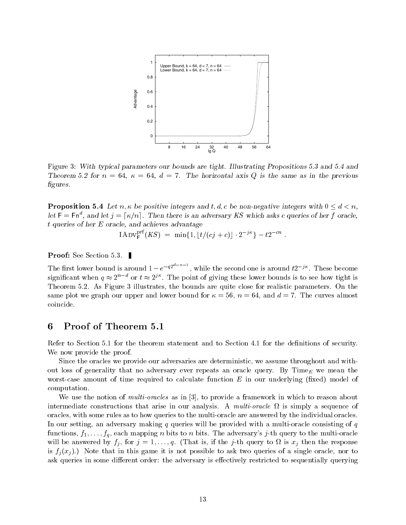

Figure 3: With typical parameters our bounds are tight. Illustrating Propositions 5.3 and 5.4 and Theorem 5.2 for  $n = 64$ ,  $\kappa = 64$ ,  $d = 7$ . The horizontal axis Q is the same as in the previous figures.

**Proposition 5.4** Let  $n, \kappa$  be positive integers and t, d, c be non-negative integers with  $0 \leq d \leq n$ , let  $F = Fn^a$ , and let  $j = \lceil \kappa/n \rceil$ . Then there is an adversary KS which asks c queries of her f oracle,  $t$  queries of her  $E$  oracle, and achieves advantage

$$
I \text{ADV}_\mathsf{F}^{\text{pri}}(KS) = \min\{1, \lfloor t/(cj + c) \rfloor \cdot 2^{-j\kappa} \} - t 2^{-cn} \ .
$$

**Proof:** See Section 5.3.

The first lower bound is around  $1-e^{-qz}$ , while the second one is around  $t2^{-\jmath\kappa}$ . These become significant when  $q\approx 2^n$  " or  $t\approx 2^{j\alpha}$ . The point of giving these lower bounds is to see how tight is Theorem 5.2. As Figure 3 illustrates, the bounds are quite close for realistic parameters. On the same plot we graph our upper and lower bound for  $\kappa = 56$ ,  $n = 64$ , and  $d = 7$ . The curves almost coincide

# 6 Proof of Theorem 5.1

Refer to Section  $5.1$  for the theorem statement and to Section  $4.1$  for the definitions of security. We now provide the proof.

Since the oracles we provide our adversaries are deterministic, we assume throughout and without loss of generality that no adversary ever repeats an oracle query. By Time<sub>E</sub> we mean the worst case amount of time required to calculate function E in our underlying xed model of time  $\mathcal{U}(\mathcal{M})$ computation

We use the notion of *multi-oracles* as in  $\lbrack 3\rbrack$ , to provide a framework in which to reason about intermediate constructions that arise in our analysis. A multi-oracle  $\Omega$  is simply a sequence of oracles with some rules as to how to how queries to the multiples the multiples to the multiples to how the in In our setting an adversary making q queries will be provided with a multi oracle consisting of q for a state for the adversary in the multiple oracle of the multiple  $\mathcal{A}$  and  $\mathcal{A}$  and  $\mathcal{A}$  and  $\mathcal{A}$  and  $\mathcal{A}$  and  $\mathcal{A}$  and  $\mathcal{A}$  and  $\mathcal{A}$  and  $\mathcal{A}$  and  $\mathcal{A}$  and  $\mathcal{A}$  and  $\mathcal{A}$  will be an interest if  $f$  ,  $f$  if the just if the form to  $f$  is if the property to  $\mathbb{R}^n$  then the response  $f$ is  $f_i(x_i)$ .) Note that in this game it is not possible to ask two queries of a single oracle, nor to ask queries in some different order: the adversary is effectively restricted to sequentially querying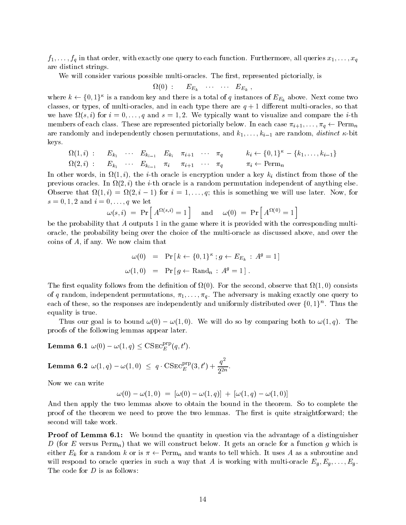$f$  in that  $f$  is that order with exactly to each function  $f$  are all  $f$  and  $f$  all  $f$  and  $f$  and  $f$  and  $f$  and  $f$  and  $f$  and  $f$  and  $f$  and  $f$ are distinct strings

will consider a representative pictorially multiple is an anti-considered pictorial pictorially is a pictorial

$$
\Omega(0) \, : \qquad E_{E_k} \quad \cdots \quad \cdots \quad E_{E_k} \;,
$$

where  $k \leftarrow \{0,1\}^{\kappa}$  is a random key and there is a total of  $q$  instances of  $E_{E_k}$  above. Next come two classes and in each type there are and in the case of the so that there are are the compact the compact the co we have the state in the internal line  $\mathcal{L}$  is a state and compare the internal line of  $\mathcal{L}$ members of each class. These are represented pictorially below. In each case  $\pi_{i+1},\ldots,\pi_q\leftarrow\mathrm{Perm}_n$ are random distinct that is are random in are random permutations and the state of the contract of the random distinct the state of the state of the state of the state of the state of the state of the state of the state of keys

$$
\Omega(1, i) : E_{k_1} \cdots E_{k_{i-1}} E_{k_i} \pi_{i+1} \cdots \pi_q \qquad k_i \leftarrow \{0, 1\}^{\kappa} - \{k_1, \ldots, k_{i-1}\} \n\Omega(2, i) : E_{k_1} \cdots E_{k_{i-1}} \pi_i \pi_{i+1} \cdots \pi_q \pi_i \leftarrow \text{Perm}_n
$$

In the internal words in  $\mathcal{U}[\mathbf{F}]$  and the internal value of  $\mathcal{U}[\mathbf{F}]$ previous interest and interest into the induced or a random permutation permutation in any theory that is a ra Observe that  $\Omega(1, t) = \Omega(2, t-1)$  for  $t = 1, \ldots, q$ , this is something we will use fatter. Frow, for s views and in the second contract of the second contract of the second contract of the second contract of the

$$
\omega(s,i) = \Pr\left[A^{\Omega(s,i)} = 1\right] \quad \text{and} \quad \omega(0) = \Pr\left[A^{\Omega(0)} = 1\right]
$$

be the probability that A outputs 1 in the game where it is provided with the corresponding multioracle the probability being over the multiple choice of the multiple as discussed above and over the multiple coins of  $A$ , if any. We now claim that

$$
\omega(0) = \Pr[k \leftarrow \{0, 1\}^{\kappa}; g \leftarrow E_{E_k} : A^g = 1]
$$
  

$$
\omega(1, 0) = \Pr[g \leftarrow \text{Rand}_n : A^g = 1].
$$

The rst equality follows from the denition of  $\Gamma$  . For the second observe that  $\Gamma$  is a second observe that  $\Gamma$ of q random independent permutations - - (1) (1) (1) and see the adversary is making exactly one query to each of these, so the responses are independently and uniformly distributed over  $\{0,1\}^n$ . Thus the equality is true

Thus our goal is to bound  $\omega(0) = \omega(1,0)$ . We will do so by comparing both to  $\omega(1, q)$ . The proofs of the following lemmas appear later

 ${\rm \bf Lemma~6.1} \;\; \omega(0)-\omega(1,q)\leq \text{CSEC}^{\mu\nu}_{E}(q,t').$ 

Lemma 6.2  $\omega(1,q)-\omega(1,0) \ \leq \ q \cdot \text{CSEC}^{\text{prp}}_E(3,t') + \frac{q^2}{2^{2n}}.$ -n

Now we can write

$$
\omega(0)-\omega(1,0) ~=~ [ \omega(0)-\omega(1,q) ] ~+~ [ \omega(1,q)-\omega(1,0) ]
$$

And then apply the two lemmas above to obtain the bound in the theorem. So to complete the proof of the theorem we need to prove the two lemmas. The first is quite straightforward; the second will take work

Proof of Lemma  We bound the quantity in question via the advantage of a distinguisher D (for E versus  $\text{Perm}_n$ ) that we will construct below. It gets an oracle for a function g which is either  $E_k$  for a random k or is  $\pi \leftarrow \text{Perm}_n$  and wants to tell which. It uses A as a subroutine and will respond to oracle queries in such a way that A is working with multiple in the multiple  $q$  is  $q$  -  $q$  -The code for  $D$  is as follows: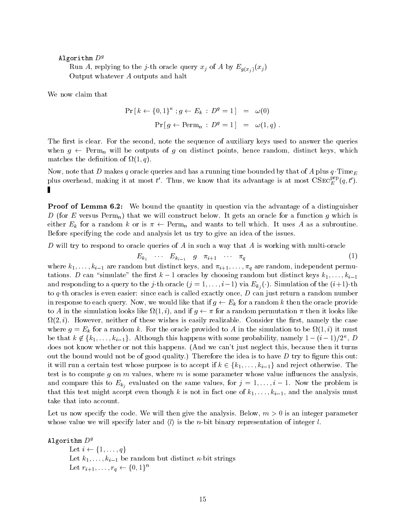### Algorithm  $D<sup>g</sup>$

 $\mathbf{r}$  replying to the jump to the simple  $\mathbf{r}$  or  $\mathbf{r}$  of  $\mathbf{r}$  of  $\mathbf{r}$   $\mathbf{r}$   $\mathbf{r}$   $\mathbf{r}$ Output whatever A outputs and halt

We now claim that

$$
\Pr\left[k \leftarrow \{0, 1\}^{\kappa} : g \leftarrow E_k : D^g = 1\right] = \omega(0)
$$

$$
\Pr\left[g \leftarrow \text{Perm}_n : D^g = 1\right] = \omega(1, q).
$$

The first is clear. For the second, note the sequence of auxiliary keys used to answer the queries when  $g \leftarrow$  Perm $_n$  will be outputs of  $g$  on distinct points, hence random, distinct keys, which matches the density of  $\mathbf{q} = \mathbf{q} + \mathbf{q}$  and  $\mathbf{q} = \mathbf{q} + \mathbf{q}$  and  $\mathbf{q} = \mathbf{q} + \mathbf{q}$ 

Now, note that D makes q oracle queries and has a running time bounded by that of A plus  $q$ . Time<sub>E</sub> plus overhead, making it at most t. Thus, we know that its advantage is at most  $\mathrm{CSEC}_{E}^{r-r}(q,t)$ . Ш

Proof of Lemma  We bound the quantity in question via the advantage of a distinguisher D (for E versus  $\text{Perm}_n$ ) that we will construct below. It gets an oracle for a function g which is either  $E_k$  for a random k or is  $\pi \leftarrow \mathrm{Perm}_n$  and wants to tell which. It uses A as a subroutine. Before specifying the code and analysis let us try to give an idea of the issues

D will try to respond to oracle queries of A in suchaway that A is working with multi oracle

$$
E_{k_1} \cdots E_{k_{i-1}} \quad g \quad \pi_{i+1} \quad \cdots \quad \pi_q \tag{1}
$$

 $\mathbf{r}$  are random independent permutations and independent permutations of  $\mathbf{r}$ tations. D can simulate the first  $\kappa = 1$  oracles by choosing random but distinct keys  $\kappa_1, \ldots, \kappa_{i-1}$ the contract of the contract of the contract of the contract of the contract of the contract of the contract of and responding to a query to the *j*-th oracle ( $j = 1, \ldots, i-1$ ) via  $E_{k_j}(\cdot)$ . Simulation of the  $(i+1)$ -th to q th oracles is even easier since each is called exactly once D can just return a random number in response to each query. Now, we would like that if  $g \leftarrow E_k$  for a random  $k$  then the oracle provide to A in the simulation looks like  $\Omega(1,i)$ , and if  $q \leftarrow \pi$  for a random permutation  $\pi$  then it looks like . It however neither of these wishes wishes wishes with the rate consider the rate  $\mathbf{r}$ where  $\mathcal{L}$  is a random k for the simulation to be the simulation to be  $\mathcal{L}$  in the simulation to be  $\mathcal{L}$ be that  $k \notin \{k_1,\ldots,k_{i-1}\}$ . Although this happens with some probability, namely  $1-(i-1)/2^{\kappa}$ , D does not know whether or not this happens. (And we can't just neglect this, because then it turns out the bound would not be of good quality.) Therefore the idea is to have  $D$  try to figure this out: it will run a certain test whose purpose is to accept if  $k \in \{k_1, \ldots, k_{i-1}\}$  and reject otherwise. The test is to compute g on  $m$  values, where  $m$  is some parameter whose value influences the analysis, and compare this to  $E_{k_j}$  evaluated on the same values, for  $j = 1, \ldots, i-1$ . Now the problem is that the accept even the and the angles of the and the angles of k-in fact one of k-in fact one of k-in fact one of  $\mu$ take that into account

Let us now specify the code. We will then give the analysis. Below,  $m > 0$  is an integer parameter whose value we will specify later and  $\langle l \rangle$  is the *n*-bit binary representation of integer *l*.

### Algorithm  $D<sup>g</sup>$

Let  $i \leftarrow \{1, \ldots, q\}$  $\Box$  be  $\Box$  but distinct the contract of  $\Box$ Let  $r_{i+1}, \ldots, r_q \leftarrow \{0, 1\}^n$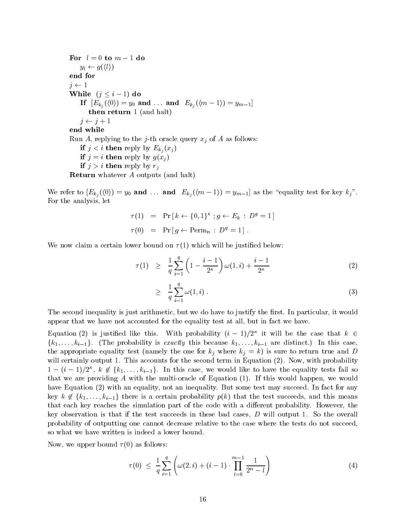For  $l = 0$  to  $m - 1$  do  $y_l \leftarrow g(\langle l \rangle)$ end for  $j \leftarrow 1$ While  $(j \leq i - 1)$  do If  $\left[ E_{k_{j}}(\langle 0 \rangle)=y_{0} \textbf{ and } \ldots \textbf{ and } \right. E_{k_{j}}(\langle m-1 \rangle)=y_{m-1} \right]$ then return  $1$  (and halt)  $\eta \leftarrow \eta + 1$ end while Run A replying to the j th oracle query xj of <sup>A</sup> as follows if  $j < i$  then reply by  $E_{k_i}(x_j)$ if  $j = i$  then reply by  $g(x_i)$ if  $j > i$  then reply by  $r_j$ **Return** whatever  $A$  outputs (and halt)

We refer to  $[E_{k_j}(\langle 0 \rangle) = y_0$  and  $\ldots$  and  $E_{k_j}(\langle m-1 \rangle) = y_{m-1}]$  as the "equality test for key  $k_j$ ". For the analysis, let

$$
\tau(1) = \Pr[k \leftarrow \{0, 1\}^{\kappa} ; g \leftarrow E_k : D^g = 1]
$$
  

$$
\tau(0) = \Pr[g \leftarrow \text{Perm}_n : D^g = 1].
$$

We now claim a certain lower bound on  $\tau(1)$  which will be justified below:

$$
\tau(1) \geq \frac{1}{q} \sum_{i=1}^{q} \left( 1 - \frac{i-1}{2^{\kappa}} \right) \omega(1, i) + \frac{i-1}{2^{\kappa}} \tag{2}
$$

$$
\geq \frac{1}{q} \sum_{i=1}^{q} \omega(1, i) \tag{3}
$$

The second inequality is just arithmetic, but we do have to justify the first. In particular, it would appear that we have not accounted for the equality test at all, but in fact we have.

Equation (2) is justified like this. With probability  $(i-1)/2^{\kappa}$  it will be the case that  $k \in$  $\{k_1,\ldots,k_{i-1}\}.$  (The probability is exactly this because  $k_1,\ldots,k_{i-1}$  are distinct.) In this case, the appropriate equality test (namely the one for  $k_j$  where  $k_j = k$ ) is sure to return true and D will certainly output 1. This accounts for the second term in Equation  $(2)$ . Now, with probability  $1-(i-1)/2^{\kappa}, k \notin \{k_1,\ldots,k_{i-1}\}.$  In this case, we would like to have the equality tests fail so that we are provided a with the multiple countries and multiple in the multiple and would would happen we would have Equation (2) with an equality, not an inequality. But some test may succeed. In fact for any key  $k \notin \{k_1,\ldots,k_{i-1}\}$  there is a certain probability  $p(k)$  that the test succeeds, and this means that each key reaches the simulation part of the code with a different probability. However, the key observation is that if the test succeeds in these bad cases,  $D$  will output 1. So the overall probability of outputting one cannot decrease relative to the case where the tests do not succeed so what we have written is indeed a lower bound

Now, we upper bound  $\tau(0)$  as follows:

$$
\tau(0) \leq \frac{1}{q} \sum_{i=1}^{q} \left( \omega(2, i) + (i - 1) \cdot \prod_{l=0}^{m-1} \frac{1}{2^{n} - l} \right) \tag{4}
$$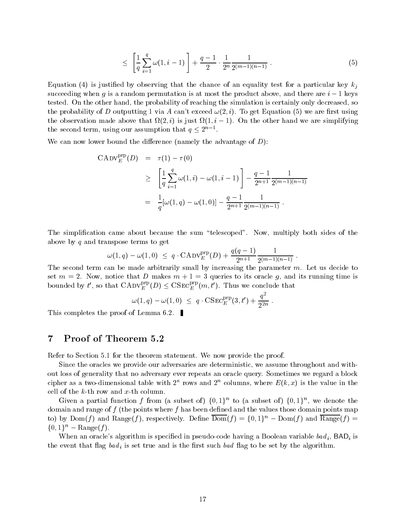$$
\leq \left[\frac{1}{q} \sum_{i=1}^{q} \omega(1, i-1)\right] + \frac{q-1}{2} \cdot \frac{1}{2^n} \frac{1}{2^{(m-1)(n-1)}}.
$$
\n(5)

Equation (4) is justified by observing that the chance of an equality test for a particular key  $k_i$ succeeding when g is a random permutation is at most the product above, and there are  $i-1$  keys tested. On the other hand, the probability of reaching the simulation is certainly only decreased, so  $\mathbf{r}$  and  $\mathbf{r}$  are rst using  $\mathbf{r}$  and  $\mathbf{r}$  are rst using using  $\mathbf{r}$ the observation made above that  $\mathfrak{sl}_2(\mathbb{Z},\ell)$  is just  $\mathfrak{sl}_1(\mathbb{Z},\ell) = 1$ . On the other hand we are simplifying the second term, using our assumption that  $q \leq 2^{n-1}$ .

We can now lower bound the difference (namely the advantage of  $D$ ):

$$
CADV_E^{\text{prp}}(D) = \tau(1) - \tau(0)
$$
  
\n
$$
\geq \left[\frac{1}{q} \sum_{i=1}^q \omega(1, i) - \omega(1, i - 1)\right] - \frac{q - 1}{2^{n+1}} \frac{1}{2^{(m-1)(n-1)}}
$$
  
\n
$$
= \frac{1}{q} [\omega(1, q) - \omega(1, 0)] - \frac{q - 1}{2^{n+1}} \frac{1}{2^{(m-1)(n-1)}}.
$$

The simplification came about because the sum "telescoped". Now, multiply both sides of the above by  $q$  and transpose terms to get

$$
\omega(1,q) - \omega(1,0) \ \leq \ q \cdot \mathrm{CADV}_{E}^{\mathrm{prp}}(D) + \frac{q(q-1)}{2^{n+1}} \frac{1}{2^{(m-1)(n-1)}} \ .
$$

The second term can be made arbitrarily small by increasing the parameter  $m$ . Let us decide to set  $m = 2$ . Now, notice that D makes  $m + 1 = 3$  queries to its oracle g, and its running time is bounded by t', so that  $\text{CADV}_{E}^{\mu\nu}(D) \leq \text{CSEC}_{E}^{\mu\nu}(m, t')$ . Thus we conclude that

$$
\omega(1,q)-\omega(1,0) ~\leq ~ q \cdot \text{CSEC}^{\text{prp}}_E(3,t') + \frac{q^2}{2^{2n}}{\,}.
$$

This completes the proof of Lemma 6.2.

### 7 Proof of Theorem

Refer to Section 5.1 for the theorem statement. We now provide the proof.

Since the oracles we provide our adversaries are deterministic, we assume throughout and without loss of generality that no adversary ever repeats an oracle query Sometimes we regard a block cipher as a two-dimensional table with  $\mathcal Z$  -rows and  $\mathcal Z$  -columns, where  $E(\mathcal K,\mathcal X)$  is the value in the

Given a partial function f from (a subset of)  $\{0,1\}^n$  to (a subset of)  $\{0,1\}^n$ , we denote the domain and range of  $f$  (the points where  $f$  has been defined and the values those domain points map to) by  $Dom(f)$  and  $Range(f)$ , respectively. Define  $Dom(f) = \{0,1\}^n - Dom(f)$  and  $Range(f) =$  $\{0,1\}^n$  – Range(f).

where an oracle algorithm is species an pseudo-code in  $\alpha$  and  $\alpha$  is a second international  $\alpha$  $\mathbf{r}_i$  is set that  $\mathbf{r}_i$  is set to be true and is the such such and  $\mathbf{r}_i$  is be set by the algorithm.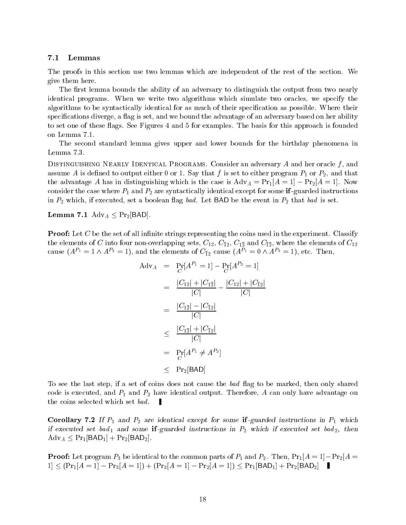#### 7.1 Lemmas

The proofs in this section use two lemmas which are independent of the rest of the section. We give them here

The first lemma bounds the ability of an adversary to distinguish the output from two nearly identical programs. When we write two algorithms which simulate two oracles, we specify the algorithms to be syntactically identical for as much of their specification as possible. Where their specifications diverge, a flag is set, and we bound the advantage of an adversary based on her ability to set one of these flags. See Figures 4 and 5 for examples. The basis for this approach is founded on Lemma

The second standard lemma gives upper and lower bounds for the birthday phenomena in Lemma 7.3.

DISTINGUISHING NEARLY IDENTICAL PROGRAMS. Consider an adversary A and her oracle  $f$ , and assume A is denoted to output either a is set  $\alpha$  way that f  $f$  is set to either program P  $_4$  or P  $_4$  that that  $\alpha$ the advantage A has in distinguishing which is the case is  $A\alpha V_A = I I_1 |A = I| = I I_2 |A = I|$ . Now consider the case where P and P-2 are P and P-2 case instructions instructions for some instructions and the mo in  $\mu$  in P-ag bad in P-ag bad is set a boolean  $\mu$  and  $\mu$  and  $\mu$  and event in P-ag be the event in P-ag bad is set as  $\mu$ 

 ${\bf L}$ emma 7.1  ${\rm Adv}_A\leq{\rm Pr}_2|{\rm BAD}|.$ 

**Proof:** Let C be the set of all infinite strings representing the coins used in the experiment. Classify  $\tau$  is contributed to four non-overlapping sets  $\tau$  (and  $\tau$  (and  $\tau$  )  $\tau$  (and  $\tau$  )  $\tau$  (and  $\tau$  ) for the elements of C-12  $\tau$ cause  $(A^{r_1} = 1 \wedge A^{r_2} = 1)$ , and the elements of  $C_{\bar{1}2}$  cause  $(A^{r_1} = 0 \wedge A^{r_2} = 1)$ , etc. Then,

$$
Adv_{A} = Pr[A^{P_{1}} = 1] - Pr[A^{P_{2}} = 1]
$$
  
= 
$$
\frac{|C_{12}| + |C_{1\bar{2}}|}{|C|} - \frac{|C_{12}| + |C_{\bar{1}2}|}{|C|}
$$
  
= 
$$
\frac{|C_{1\bar{2}}| - |C_{\bar{1}2}|}{|C|}
$$
  

$$
\leq \frac{|C_{1\bar{2}}| + |C_{\bar{1}2}|}{|C|}
$$
  
= 
$$
Pr_{B}[A^{P_{1}} \neq A^{P_{2}}]
$$
  

$$
\leq Pr_{2}[BAD]
$$

To see the last step, if a set of coins does not cause the bad flag to be marked, then only shared code is executed and P and P- have identical output Therefore <sup>A</sup> can only have advantage on the coins selected which set bad

Corollary If P and P- are identical except for some if guarded instructions in P which  $\cdots$  and  $\cdots$  set bad  $\cdots$  some if  $\alpha$  and  $\cdots$  into  $\cdots$  in  $\cdots$  in  $\alpha$  . Then if  $\alpha$  is a set  $\alpha$  $\text{Adv}_A \leq \text{Pr}_1|\text{BAD}_1| + \text{Pr}_2|\text{BAD}_2|.$ 

**1** FOOP Determining to the common parts of  $P_2$ . Then,  $P_1 | A = 1 | P_1 P_2 | A = 1$  $P_1 \leq (Pr_1 | A = 1 | - Pr_3 | A = 1 |) + (Pr_3 | A = 1 | - Pr_2 | A = 1 |) \leq Pr_1 | BAD_1 | + Pr_2 | BAD_2 |$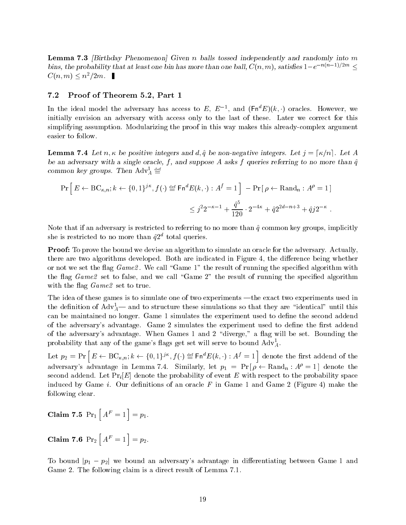Lemma - Birthday Phenomenon Given n balls tossed independently and randomly into m bins, the probability that at least one bin has more than one ball,  $C(n, m)$ , satisfies  $1-e^{-n(n-1)/2m} \le$  $C(n, m) \leq n^2/2m.$ 

### $7.2$ Proof of Theorem - Part

In the ideal model the adversary has access to  $E$ ,  $E$   $^{-1}$ , and (Fn  $E$ )( $\kappa$ , ) oracles. However, we initially envision an adversary with access only to the last of these Later we correct for this simplifying assumption Modularizing the proof in this way makes this already complex argument easier to follow

**Lemma 7.4** Let  $n, \kappa$  be positive integers and  $d, \hat{q}$  be non-negative integers. Let  $j = \lceil \kappa/n \rceil$ . Let A be an adversary with a single oracle, f, and suppose A asks f queries referring to no more than  $\hat{q}$ common key groups. Then  $\text{Aav}_{\bar{A}} \equiv$ 

$$
\Pr\left[E \leftarrow BC_{\kappa, n}; k \leftarrow \{0, 1\}^{j\kappa}, f(\cdot) \stackrel{\text{def}}{=} \mathsf{Fn}^d E(k, \cdot) : A^f = 1\right] - \Pr\left[\rho \leftarrow \text{Rand}_n : A^{\rho} = 1\right] \\
\leq j^2 2^{-\kappa - 1} + \frac{\hat{q}^5}{120} \cdot 2^{-4\kappa} + \hat{q} 2^{2d - n + 3} + \hat{q} j 2^{-\kappa}.
$$

Note that if an adversary is restricted to referring to no more than  $\hat{q}$  common key groups, implicitly she is restricted to no more than  $q_{\rm z}$  -total queries.

**Proof:** To prove the bound we devise an algorithm to simulate an oracle for the adversary. Actually, there are two algorithms developed. Both are indicated in Figure 4, the difference being whether or not we set the flag  $Game$ . We call "Game 1" the result of running the specified algorithm with the flag  $Game$  set to false, and we call "Game 2" the result of running the specified algorithm with the flag  $Game$  set to true.

The idea of these games is to simulate one of two experiments —the exact two experiments used in the definition of  $\mathrm{A}\mathrm{d}v_A$ — and to structure these simulations so that they are "identical" until this can be maintained no longer. Game 1 simulates the experiment used to define the second addend of the adversary's advantage. Game 2 simulates the experiment used to define the first addend of the adversary's advantage. When Games 1 and 2 "diverge," a flag will be set. Bounding the probability that any of the game's flags get set will serve to bound  $\text{AdV}_A^T.$ 

Let  $p_2 = \Pr\left[E \leftarrow \text{BC}_{\kappa,n}; k \leftarrow \{0,1\}^{j\kappa}, f(\cdot) \stackrel{\text{def}}{=} \mathsf{Fn}^d E(k,\cdot) : A^f = 1\right]$  denote the first addend of the adversary's advantage in Lemma 7.4. Similarly, let  $p_1 = \Pr{\rho \leftarrow \text{Rand}_n : A^{\rho} = 1}$  denote the second addend. Let  $Pr_i[E]$  denote the probability of event E with respect to the probability space induced by Game *i*. Our definitions of an oracle F in Game 1 and Game 2 (Figure 4) make the following clear

$$
Claim 7.5 Pr1 [AF = 1] = p1.
$$

Claim 7.6  $Pr_2[A^F = 1] = p_2$ .

To bound  $|p_1-p_2|$  we bound an adversary's advantage in differentiating between Game 1 and Game 2. The following claim is a direct result of Lemma 7.1.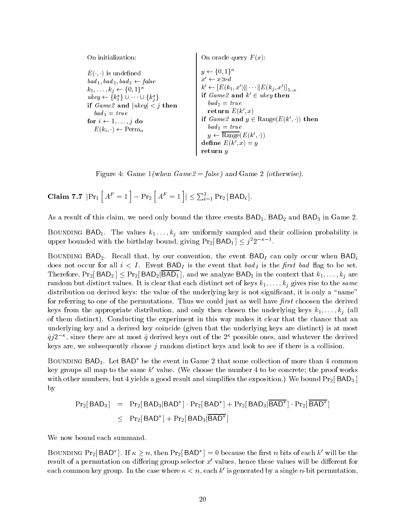| On oracle query $F(x)$ :                                                                                                                                                                                                                                                                     |
|----------------------------------------------------------------------------------------------------------------------------------------------------------------------------------------------------------------------------------------------------------------------------------------------|
| $k' \leftarrow [E(k_1, x')] \cdots   E(k_j, x') _{1-\kappa}$<br>if $Game2$ and $k' \in ukey$ then<br>$bad_2 = true$<br>return $E(k',x)$<br>if $Game2$ and $y \in Range(E(k', \cdot))$ then<br>$bad_3 = true$<br>$y \leftarrow \overline{\text{Range}}(E(k', \cdot))$<br>define $E(k',x) = y$ |
|                                                                                                                                                                                                                                                                                              |

 $\mathbf{F}$  is a game  $\mathbf{F}$  and  $\mathbf{F}$  and  $\mathbf{F}$  and  $\mathbf{F}$  and  $\mathbf{F}$  and  $\mathbf{F}$  and  $\mathbf{F}$ 

Claim 7.7  $|\Pr_1|A^F = 1 - \Pr_2|A^F = 1| \le \sum_{i=1}^3 \Pr_2[BAD_i].$ 

As a result of this claim we need only bound the three events BAD BAD- and BAD in Game 

 $\mathbf{h} = \mathbf{h} + \mathbf{h}$  are uniformly sampled and the values of the values of the values of the values of the values of the values of the values of the values of the values of the values of the values of the values of the upper bounded with the birthday bound, giving  $Pr_2|BAD_1| \leq j^22^{-\kappa-1}$ .

 $\Delta$  -convention that by our convention that by our convention the event BADI can only our convention  $\mu$ does not occur for all  $i < I$ . Event  $BAD_I$  is the event that bad<sub>I</sub> is the first bad flag to be set. Therefore,  $\Pr_2[\mathsf{BAD}_2]\leq \Pr_2[\mathsf{BAD}_2|\mathsf{BAD}_1]$ , and we analyze  $\mathsf{BAD}_2$  in the context that  $k_1,\ldots,k_j$  are random but distinct values, it is clear that each distinct set of keys  $\mu$  is  $\mu$  and the same same distribution on derived keys: the value of the underlying key is not significant, it is only a "name" for referring to one of the permutations. Thus we could just as well have first choosen the derived keys from the appropriate distribution and only then chosen the underlying keys k--kj all of them distinct). Conducting the experiment in this way makes it clear that the chance that an underlying key and a derived key coincide (given that the underlying keys are distinct) is at most  $q\bar{\jmath}z^{\prime\prime}$  , since there are at most  $q$  derived keys out of the  $z^{\prime\prime}$  possible ones, and whatever the derived keys are, we subsequently choose  $j$  random distinct keys and look to see if there is a collision.

BOUNDING BAD<sub>3</sub>. Let  $BAD^*$  be the event in Game 2 that some collection of more than 4 common key groups all map to the same  $k'$  value. (We choose the number 4 to be concrete; the proof works with other numbers but and simplicate a good result and simplicate and simplicate with the exposition We bound P by

$$
Pr_2[BAD_3] = Pr_2[BAD_3|BAD^*] \cdot Pr_2[BAD^*] + Pr_2[BAD_3|BAD^*] \cdot Pr_2[BAD^*] \leq Pr_2[BAD^*] + Pr_2[BAD_3|BAD^*]
$$

We now bound each summand

BOUNDING Pr<sub>2</sub> BAD<sup>\*</sup>. If  $\kappa \geq n$ , then Pr<sub>2</sub> BAD<sup>\*</sup> = 0 because the first n bits of each k' will be the result of a permutation on differing group selector  $x'$  values, hence these values will be different for each common key group. In the case where  $\kappa < n$ , each  $\kappa$  is generated by a single  $n$ -bit permutation,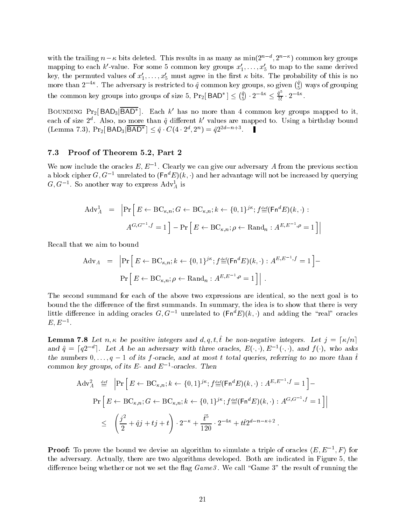with the training  $n - \kappa$  bits defeted. This results in as many as min(2  $\ldots$  , 2  $\ldots$  ) common key groups mapping to each  $\kappa$  -value. For some 5 common key groups  $x_1,\ldots,x_5$  to map to the same derived key, the permuted values of  $x_1, \ldots, x_5$  must agree in the first  $\kappa$  bits. The probability of this is no more than  $2^{-4\kappa}$ . The adversary is restricted to  $\hat{q}$  common key groups, so given  $\binom{q}{5}$  ways of grouping the common key groups into groups of size 5,  $Pr_2[BAD^*] \leq {q \choose 5} \cdot 2^{-4\kappa} \leq \frac{q^2}{5!} \cdot 2^{-4\kappa}$ .

BOUNDING  $Pr_2[BAD_3|BAD^*]$ . Each  $k'$  has no more than 4 common key groups mapped to it, each of size  $2^{\circ}$ . Also, no more than  $q$  different  $\kappa$  values are mapped to. Using a birthday bound (Lemma 7.3),  $Pr_2[ BAD_3|BAD^*] \leq \hat{q} \cdot C(4 \cdot 2^d, 2^n) = \hat{q}2^{2d-n+3}$ .

#### 7.3 Proof of Theorem - Part

We now include the oracles  $E, E^{-}$ . Clearly we can give our adversary A from the previous section a block cipher G, G  $^{-1}$  unrelated to  $(\texttt{Fn}^*E)(\kappa, \cdot)$  and her advantage will not be increased by querying  $G, G^{-1}$ . So another way to express  $\text{Aav}_{\bar{A}}$  is

$$
\begin{aligned}\n\text{Adv}_{A}^{1} &= \left| \Pr \left[ E \leftarrow \text{BC}_{\kappa, n}; G \leftarrow \text{BC}_{\kappa, n}; k \leftarrow \{0, 1\}^{j\kappa}; f^{\text{def}}_{=}(\mathsf{Fn}^{d} E)(k, \cdot): \right. \\
&\left. A^{G, G^{-1}, f} = 1 \right] - \Pr \left[ E \leftarrow \text{BC}_{\kappa, n}; \rho \leftarrow \text{Rand}_{n} : A^{E, E^{-1}, \rho} = 1 \right] \right|\n\end{aligned}
$$

Recall that we aim to bound

$$
\begin{aligned} \text{Adv}_{A} &= \left| \Pr \left[ E \leftarrow \text{BC}_{\kappa, n}; k \leftarrow \{0, 1\}^{j\kappa}; f_{=}^{\text{def}}(\mathsf{Fn}^{d} E)(k, \cdot) : A^{E, E^{-1}, f} = 1 \right] \right. \\ &\left. \Pr \left[ E \leftarrow \text{BC}_{\kappa, n}; \rho \leftarrow \text{Rand}_{n} : A^{E, E^{-1}, \rho} = 1 \right] \right| \,. \end{aligned}
$$

The second summand for each of the above two expressions are identical, so the next goal is to bound the the difference of the first summands. In summary, the idea is to show that there is very little difference in adding oracles  $G, G \doteq$  unrelated to  $(\text{Fn}^*E)(\kappa, \cdot)$  and adding the "real" oracles  $E, E$  .

**Lemma 7.8** Let  $n, \kappa$  be positive integers and  $d, q, t, \tilde{t}$  be non-negative integers. Let  $j = \lceil \kappa/n \rceil$ and  $\hat{q} = [q2^{-d}]$ . Let A be an adversary with three oracles,  $E(\cdot, \cdot), E^{-1}(\cdot, \cdot)$ , and  $f(\cdot)$ , who asks  $\mu$  is functional  $q$  in the  $q$  -value, and at most t total queries, referring to no more than t common key groups, of its  $E$ - and  $E$  -oracles. Then

$$
Adv_A^2 \stackrel{\text{def}}{=} \left| \Pr \left[ E \leftarrow BC_{\kappa, n}; k \leftarrow \{0, 1\}^{jk}; f^{\text{def}}_{=}(\mathsf{Fn}^d E)(k, \cdot) : A^{E, E^{-1}, f} = 1 \right] - \right. \n\left. \Pr \left[ E \leftarrow BC_{\kappa, n}; G \leftarrow BC_{\kappa, n}; k \leftarrow \{0, 1\}^{jk}; f^{\text{def}}_{=}(\mathsf{Fn}^d E)(k, \cdot) : A^{G, G^{-1}, f} = 1 \right] \right| \right. \n\leq \left. \left( \frac{j^2}{2} + \hat{q}j + tj + t \right) \cdot 2^{-\kappa} + \frac{\hat{t}^5}{120} \cdot 2^{-4\kappa} + t\hat{t}2^{d - n - \kappa + 2} \right).
$$

**Proof:** To prove the bound we devise an algorithm to simulate a triple of oracles  $\langle E, E^{-1}, F \rangle$  for the adversary. Actually, there are two algorithms developed. Both are indicated in Figure 5, the difference being whether or not we set the flag  $Game 3$ . We call "Game 3" the result of running the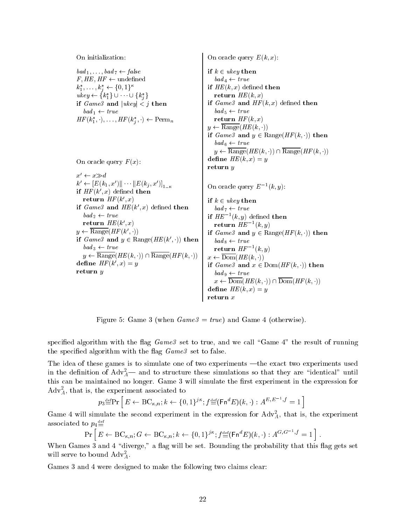On initialization

 $bad_1, \ldots, bad_7 \leftarrow false$  $F, HE, HF \leftarrow$  undefined  $k_1^*,\ldots,k_i^* \leftarrow \{0,1\}^{\kappa}$  $ukey \leftarrow \{k_1^*\} \cup \cdots \cup \{k_i^*\}$ if  $Game 3$  and  $|ukey| < j$  then  $\mathit{bad}_1 \leftarrow \mathit{true}$  $HF(k_1^*,\cdot),\ldots,HF(k_i^*,\cdot)\leftarrow \mathrm{Perm}_n$ <u>je za obrazu u predstavanju u predstavanju u predstavanju u predstavanju u predstavanju u predstavanju u predstavanju u predstavanju u predstavanju u predstavanju u predstavanju u predstavanju u predstavanju u predstavanj</u>

On oracle query  $F(x)$ :

 $x' \leftarrow x \gg d$  $k' \leftarrow \left[E(k_1, x') \| \cdots \| E(k_j, x') \right]_{1 \ldots \kappa}$  $\mathbf{H} \cdot \mathbf{H} \cdot \mathbf{H} \cdot \mathbf{H} \cdot \mathbf{H} \cdot \mathbf{H}$  a chiled then return  $HF(K, \mathcal{X})$ if  $Game3$  and  $HE(K, x)$  denied then  $h_0$  $bad_2 \leftarrow true$ return  $H E (k, x)$  $y \leftarrow \text{Range}(HF(k', \cdot))$ if  $Game3$  and  $y \in Range(HE(k', \cdot))$  then  $\vert$  bade  $\mathit{bad}_3 \leftarrow \mathit{true}$  $y \leftarrow \text{Range}(HE(k,\cdot)) \cap \text{Range}(HF(k,\cdot)) + x$ define  $H^F(k, x) = y$ return <sup>y</sup>

 $\forall$  l  $x \leftarrow$  Dom $(HE(k, \cdot))$  $\sum_{i=1}^{n}$  or actor query  $\sum_{i=1}^{n}$ if  $k \in ukey$  then  $bad_4 \leftarrow true$  $\mathbf{H}$   $\mathbf{H}$  are  $\mathbf{H}$  and  $\mathbf{H}$  are  $\mathbf{H}$  $1 \cup 0$  and  $1 \cup 1 \cup 1$  $\mathbf{u}$  cannot denote the  $\mathbf{v}$  denote the  $\mathbf{u}$  $\mathit{bad}_5 \leftarrow \mathit{true}$  $\sim$   $\sim$   $\sim$   $\sim$   $\sim$   $\sim$   $\sim$   $\sim$  $y \leftarrow \text{Range}(HE(k,\cdot))$ if  $Game3$  and  $y \in Range(HF(k, \cdot))$  then  $bad_6 \leftarrow true$  $y \leftarrow \text{Range}(HE(k, \cdot)) \cap \text{Range}(HF(k, \cdot))$ dene HE k- x <sup>y</sup> return <sup>y</sup> On oracle query  $E = (k, y)$ : if  $k \in ukey$  then  $bad_7 \leftarrow true$ if  $HE^{-}(k, y)$  defined then return  $HE^{-}(k, y)$ if  $Game3$  and  $y \in Range(HF(k, \cdot))$  then  $\mathit{bad}_8 \leftarrow \mathit{true}$ return  $HF^{-1}(k, y)$ if  $Game3$  and  $x \in Dom(HF(k, \cdot))$  then  $\mathit{bad}_9 \leftarrow \mathit{true}$  $x \leftarrow \text{Dom}(HE(k, \cdot)) \cap \text{Dom}(HF(k, \cdot))$ dene HE k- x <sup>y</sup> return <sup>x</sup>

Figure 5: Game 3 (when  $Game3 = true$ ) and Game 4 (otherwise).

specified algorithm with the flag  $Game 3$  set to true, and we call "Game 4" the result of running the specified algorithm with the flag  $Game 3$  set to false.

The idea of these games is to simulate one of two experiments —the exact two experiments used in the definition of Adv $_{\rm A}^-\!\!-$  and to structure these simulations so that they are "identical" until this can be maintained no longer. Game 3 will simulate the first experiment in the expression for  $\rm{Aav}_A,$  that is, the experiment associated to

$$
p_3 \stackrel{\text{def}}{=} \Pr\left[E \leftarrow BC_{\kappa,n}; k \leftarrow \{0,1\}^{j\kappa}; f^{\text{def}}_{\equiv}(\mathsf{Fn}^d E)(k, \cdot) : A^{E, E^{-1}, f} = 1\right]
$$

Game 4 will simulate the second experiment in the expression for  $\text{Ad} \text{v}_{\overline{A}}$ , that is, the experiment associated to  $p_4\!\equiv\!$ 

$$
\Pr\left[E \leftarrow BC_{\kappa,n}; G \leftarrow BC_{\kappa,n}; k \leftarrow \{0,1\}^{j\kappa}; f^{\text{def}}_{=}(\mathsf{Fn}^d E)(k, \cdot) : A^{G, G^{-1}, f} = 1\right].
$$

When Games  $3$  and  $4$  "diverge," a flag will be set. Bounding the probability that this flag gets set will serve to bound  $\text{Aav}_{\bar{A}}.$ 

Games 3 and 4 were designed to make the following two claims clear: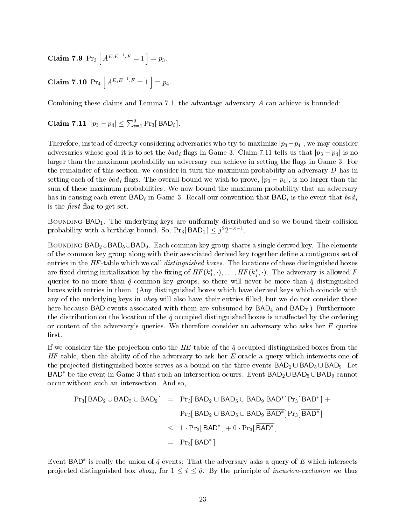Claim 7.9  $Pr_3\left[A^{E,E^{-1},F}=1\right] = p_3.$ 

Claim 7.10  $Pr_4\left[A^{E,E^{-1},F}=1\right] = p_4.$ 

Combining these claims and Lemma  $7.1$ , the advantage adversary  $A$  can achieve is bounded:

Claim 7.11  $|p_3 - p_4| \le \sum_{i=1}^9 \Pr_3[BAD_i].$ 

Therefore, instead of directly considering adversaries who try to maximize  $|p_3 - p_4|$ , we may consider adversaries whose goal it is to set the  $bad_i$  flags in Game 3. Claim 7.11 tells us that  $|p_3 - p_4|$  is no larger than the maximum probability an adversary can achieve in setting the flags in Game 3. For the remainder of this section, we consider in turn the maximum probability an adversary  $D$  has in setting each of the bad<sub>i</sub> flags. The overall bound we wish to prove,  $|p_3 - p_4|$ , is no larger than the sum of these maximum probabilities We now bound the maximum probability that an adversary has in causing each event  $\mathsf{BAD}_i$  in Game 3. Recall our convention that  $\mathsf{BAD}_i$  is the event that  $bad_i$ is the  $first$  flag to get set.

BOUNDING BAD<sub>1</sub>. The underlying keys are uniformly distributed and so we bound their collision probability with a birthday bound. So,  $Pr_3|BAD_1| \leq j^22^{-\kappa-1}$ .

BOUNDING BAD<sub>2</sub>UBAD<sub>5</sub>UBAD<sub>9</sub>. Each common key group shares a single derived key. The elements of the common key group along with their associated derived key together dene a contiguous set of  $\epsilon$ ntries in the HF -table which we can *atomyatoma boxes.* The locations of these distinguished boxes are irxed during initialization by the fixing of  $Hr$  ( $\kappa_1, \cdot, \ldots,$   $Hr$  ( $\kappa_j, \cdot$  ). The adversary is allowed F j queries to no more than  $\hat{q}$  common key groups, so there will never be more than  $\hat{q}$  distinguished boxes with entries in them. (Any distinguished boxes which have derived keys which coincide with any of the underlying keys in ukey will also have their entries filled, but we do not consider those here because BAD events associated with them are subsumed by  $BAD_4$  and  $BAD_7$ .) Furthermore, the distribution on the location of the  $\hat{q}$  occupied distinguished boxes is unaffected by the ordering or content of the adversary's queries. We therefore consider an adversary who asks her  $F$  queries first.

ta we consider the the projection onto the HE table of the  $q$  occupied distinguished boxes from the  $\sim$ HF table then the ability of of the adversary to ask her E oracle a query which intersects one of the projected distinguished boxes serves as a bound on the three events  $BAD_2\cup BAD_5\cup BAD_9$ . Let BAD<sup>\*</sup> be the event in Game 3 that such an intersection ocurrs. Event BAD<sub>2</sub> UBAD<sub>5</sub> UBAD<sub>9</sub> cannot occur without such an intersection And so

$$
Pr_3[ BAD_2 \cup BAD_5 \cup BAD_9] = Pr_3[BAD_2 \cup BAD_5 \cup BAD_9|BAD^*]Pr_3[BAD^*] +
$$

$$
Pr_3[BAD_2 \cup BAD_5 \cup BAD_9|BAD^*]Pr_3[BAD^*]
$$

$$
\leq 1 \cdot Pr_3[BAD^*] + 0 \cdot Pr_3[BAD^*]
$$
= Pr_3[BAD^*]
$$

$$
= Pr_3[BAD^*]
$$
$$

Event BAD is really the union of  $q$  events: That the adversary asks a query of E which intersects projected distinguished box  $dbox_i$ , for  $1 \leq i \leq \hat{q}$ . By the principle of incusion-exclusion we thus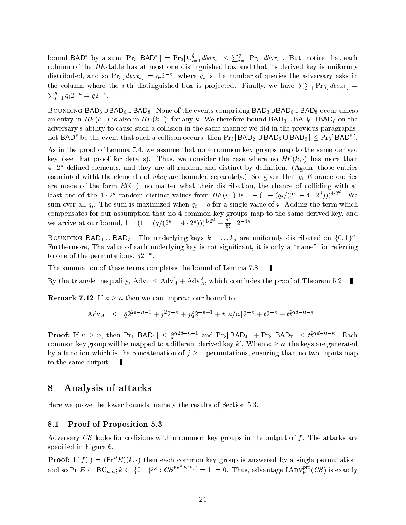bound BAD<sup>\*</sup> by a sum,  $Pr_3[BAD^*] = Pr_3[\cup_{i=1}^q dbox_i] \leq \sum_{i=1}^q Pr_3[dbox_i]$ . But, notice that each tale distinguished the table that we have all the third that it was the that it was the that it is uniformly t distributed, and so Pr3  $\textit{avox}_i \, \textbf{u} = q_i \textbf{z}$  , where  $q_i$  is the number of queries the adversary asks in the column where the *i*-th distinguished box is projected. Finally, we have  $\sum_{i=1}^{q} Pr_3[dbox_i] =$  $\sum_{i=1}^{q} q_i 2^{-\kappa} = q 2^{-\kappa}.$ 

BOUNDING BAD<sub>3</sub> UBAD<sub>6</sub> UBAD<sub>8</sub>. None of the events comprising BAD<sub>3</sub> UBAD<sub>6</sub> UBAD<sub>8</sub> occur unless an entry in  $HF(k, \cdot)$  is also in  $HE(k, \cdot)$ , for any k. We therefore bound  $BAD_3\cup BAD_6\cup BAD_8$  on the adversary's ability to cause such a collision in the same manner we did in the previous paragraphs. Let BAD\* be the event that such a collison occurs, then  $\Pr_3|\mathsf{BAD}_2\cup\mathsf{BAD}_5\cup\mathsf{BAD}_9|\leq\Pr_3|\mathsf{BAD}^*|$ .

As in the proof of Lemma  $7.4$ , we assume that no  $4$  common key groups map to the same derived key (see that proof for details). Thus, we consider the case where no  $HF\left(\kappa,\cdot\right)$  has more than  $4 \cdot 2^d$  defined elements, and they are all random and distinct by definition. (Again, those entries associated with the elements of ukey are bounded separately  $\alpha$  given that  $\alpha$  given that  $\alpha$  given that  $\alpha$ are made of the form  $E(t, \cdot)$ , no matter what their distribution, the chance of colliding with at least one of the  $4 \cdot 2^a$  random distinct values from  $HF(i, \cdot)$  is  $1 - (1 - (q_i/(2^{\kappa} - 4 \cdot 2^a)))^{4 \cdot 2^a}$ . We sum over all  $q_i$ . The sum is maximized when  $q_i = q$  for a single value of i. Adding the term which compensates for our assumption that no 4 common key groups map to the same derived key, and we arrive at our bound,  $1 - (1 - (q/(2^{\kappa} - 4 \cdot 2^d)))^{4 \cdot 2^{\kappa}} + \frac{q^2}{5!} \cdot 2^{-4\kappa}$ 

BOUNDING BAD<sub>4</sub>  $\cup$  BAD<sub>7</sub>. The underlying keys  $k_1, \ldots, k_j$  are uniformly distributed on  $\{0, 1\}^{\kappa}$ . Furthermore, The value of each underlying key is not significant, it is only a "name" for referring to one of the permutations.  $\nu$ -

The summation of these terms completes the bound of Lemma 7.8.

By the triangle inequality,  $\text{Adv}_{A} \leq \text{Adv}_{A}^{+} + \text{Adv}_{A}^{2}$ , which concludes the proof of Theorem 5.2.

**Remark 7.12** If  $\kappa \geq n$  then we can improve our bound to:

$$
A dv_A \le \hat{q} 2^{2d-n-1} + j^2 2^{-\kappa} + j \hat{q} 2^{-\kappa+1} + t \lceil \kappa/n \rceil 2^{-\kappa} + t 2^{-\kappa} + t \hat{t} 2^{d-n-\kappa}.
$$

**Proof:** If  $\kappa \geq n$ , then  $Pr_1 | BAD_1 | \leq \hat{q}2^{2a-n-1}$  and  $Pr_3 | BAD_4 | + Pr_3 | BAD_7 | \leq tt2^{a-n-\kappa}$ . Each common key group will be mapped to a different derived key k'. When  $\kappa \geq n$ , the keys are generated by a function which is the concatenation of  $j \geq 1$  permutations, ensuring than no two inputs map to the same output

# Analysis of attacks

Here we prove the lower bounds, namely the results of Section 5.3.

#### 8.1 Proof of Proposition -

Adversary  $CS$  looks for collisions within common key groups in the output of f. The attacks are specified in Figure 6.

**Prooi:** If  $f(\cdot) = (\text{Fn}^*E)(\kappa, \cdot)$  then each common key group is answered by a single permutation, and so  $\Pr[E \leftarrow \text{BC}_{\kappa,n}; k \leftarrow \{0,1\}^{j\kappa}: \textit{CS}^{\texttt{Fn}^\alpha E(k, \cdot)} = 1] = 0.$  Thus, advantage  $\text{IADV}^{\text{pn}}_{\textsf{F}}(\textit{CS})$  is exactly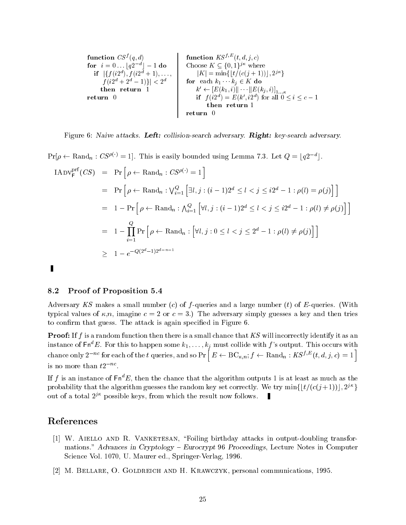| function $CS^f(q, d)$                                                       | function $KS^{f,E}(t, d, j, c)$                                             |
|-----------------------------------------------------------------------------|-----------------------------------------------------------------------------|
| for $i = 0 \ldots \lfloor q2^{-d} \rfloor - 1$ do                           | Choose $K \subseteq \{0, 1\}^{j\kappa}$ where                               |
| if $\lfloor \{f(i2^d), f(i2^d + 1), \ldots, f(i2^d + 2^d - 1)\} \mid < 2^d$ | for each $k_1 \ldots k_j \in K$ do                                          |
| then return 0                                                               | $k' \leftarrow [E(k_1, i)] \mid \cdots \mid [E(k_j, i)] \mid \ldots \kappa$ |
| return 0                                                                    | if $f(i2^d) = E(k', i2^d)$ for all $0 \leq i \leq c - 1$                    |
| then return 1                                                               |                                                                             |

 $\mathbf{r}$  is the collision  $\mathbf{r}$  and  $\mathbf{r}$  adversary right-discrete  $\mathbf{r}$  adversary  $\mathbf{r}$  adversary  $\mathbf{r}$ 

 $Pr[\rho \leftarrow \text{Rand}_n : CS^{\rho(\cdot)} = 1].$  This is easily bounded using Lemma 7.3. Let  $Q = \lfloor q2^{-d} \rfloor.$  $IADV_F^{\text{prf}}(CS) = Pr \big[\rho \leftarrow \text{Rand}_n : CS^{\rho(\cdot)} = 1 \big]$  $\begin{aligned} \hspace{0.5cm} \text{ = } \hspace{0.2cm} \Pr\left[ \, \rho \leftarrow \text{Rand}_n : \bigvee_{i=1}^{Q} \left[ \, \exists l,j : (i-1) 2^d \leq l < j \leq i 2^d - 1 : \rho(l) = \rho(j) \right] \, \right] \end{aligned}$  Pr <sup>h</sup> Randn VQ i hl- j i d lj i<sup>d</sup> l ji i  $= 1 - \prod_{i=1}^{k} Pr \left[ \rho \leftarrow \text{Rand}_n : \left[ \forall l, j : 0 \le l < j \le 2^d - 1 : \rho(l) \neq \rho(j) \right] \right]$  $\geq 1-e^{-Q(2^{n}-1)2^{n}}$  $\blacksquare$ 

### 8.2 Proof of Proposition -

Adversary KS makes a small number c of f queries and a large number t of E queries With typical values of  $\kappa$ , n, imagine  $c = 2$  or  $c = 3$ .) The adversary simply guesses a key and then tries to confirm that guess. The attack is again specified in Figure 6.

**Proof:** If f is a random function then there is a small chance that  $KS$  will incorrectly identify it as an instance of Fn-B. For this to happen some  $\kappa_1, \ldots, \kappa_j$  must collide with  $f$  's output. This occurs with chance only  $2^{-nc}$  for each of the  $t$  queries, and so Pr  $\bigl[~\,E \leftarrow \text{BC}_{\kappa,n}; f \leftarrow \text{Rand}_n: K S^{f,E}(t,d,j,c) = 1~\bigr]$ is no more than  $\iota_2$  .

If f is an instance of  $\text{Fn}^d E$ , then the chance that the algorithm outputs 1 is at least as much as the probability that the algorithm guesses the random key set correctly. We try  $\min\{\lfloor t/(c(j+1))\rfloor, 2^{j\kappa}\}$  $\}$ out of a total  $2^{\circ}$  -possible keys, from which the result now follows.  $\blacksquare$ 

# References

- W Aiello and R Vanketesan Foiling birthday attacks in output doubling transfor mations Advances in Cryptology - Eurocrypt - Proceedings Lecture Notes in Computer Science View British is different from the property through bitches
- M Bellare O Goldreich and H Krawczyk personal communications --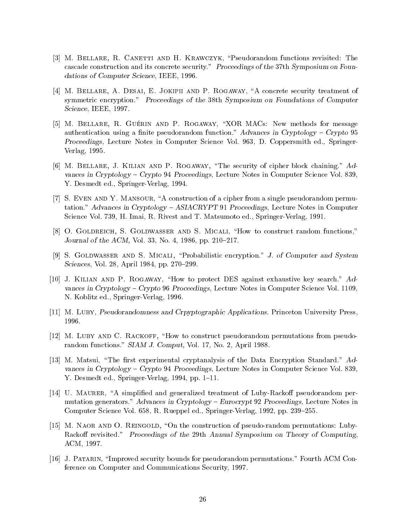- [3] M. BELLARE, R. CANETTI AND H. KRAWCZYK, "Pseudorandom functions revisited: The cascade construction and its concrete security." Proceedings of the 37th Symposium on Foundations of Computer Science III and Computer Science
- [4] M. BELLARE, A. DESAI, E. JOKIPII AND P. ROGAWAY, "A concrete security treatment of symmetric encryption." Proceedings of the 38th Symposium on Foundations of Computer  $\sim$  -  $\sim$  -  $\sim$  -  $\sim$  -  $\sim$  -  $\sim$  -  $\sim$  -  $\sim$  -  $\sim$  -  $\sim$  -  $\sim$  -  $\sim$  -  $\sim$  -  $\sim$  -  $\sim$  -  $\sim$  -  $\sim$  -  $\sim$  -  $\sim$  -  $\sim$  -  $\sim$  -  $\sim$  -  $\sim$  -  $\sim$  -  $\sim$  -  $\sim$  -  $\sim$  -  $\sim$  -  $\sim$  -  $\sim$  -  $\sim$  -  $\sim$
- [5] M. BELLARE, R. GUÉRIN AND P. ROGAWAY, "XOR MACS: New methods for message authentication using a nite pseudorandom function Advances in Cryptology - Crypto - Proceedings Lecture Notes in Computer Science Vol - D Coppersmith ed Springer Verlag --
- [6] M. BELLARE, J. KILIAN AND P. ROGAWAY, "The security of cipher block chaining."  $Ad$ vances in Cryptology - Crypto - Proceedings Lecture Notes in Computer Science Vol - $\mathcal{V} = \mathcal{V} = \mathcal{V} = \mathcal{V} = \mathcal{V} = \mathcal{V}$
- $[7]$  S. EVEN AND Y. MANSOUR, "A construction of a cipher from a single pseudorandom permutation Advances in Cryptology - ASIACRYPT - Proceedings Lecture Notes in Computer Science Vol and T Matsumoto ed Springer and T Matsumoto ed Springer and T Matsumoto ed Springer and T Matsumot
- [8] O. GOLDREICH, S. GOLDWASSER AND S. MICALI, "How to construct random functions," Journal of the ACM View (All also also all also in population of the ACM  $\sim$
- istic of Goldwasser and Signalizers and Systems and Systems and Systems and Systems and Systems and Systems and Sciences Vol  April - pp \$--
- [10] J. KILIAN AND P. ROGAWAY, "How to protect DES against exhaustive key search." Advances in Cryptology - Crypto VV - Cryptology - Crypto Crypton II - Computer Science Vol - Cryptology N KOBLITZ ED SPRINGER ED SPRINGER EDGE EN SOLD EN SOLD ET SOLD ET SOLD ET SOLD ET SOLD ET SOLD ET SOLD ET SOLD
- [11] M. Luby, Pseudorandomness and Crpyptographic Applications. Princeton University Press,
- [12] M. LUBY AND C. RACKOFF, "How to construct pseudorandom permutations from pseudorandom functions since the single-state of the single-state of the single-state of the single-state of the single-state of the single-state of the single-state of the single-state of the single-state of the single-state of
- [13] M. Matsui, "The first experimental cryptanalysis of the Data Encryption Standard." Ad- $\mathcal{C}$  in  $\mathcal{C}$  -called  $\mathcal{C}$  -called  $\mathcal{C}$  -called  $\mathcal{C}$  -called  $\mathcal{C}$  -called  $\mathcal{C}$  -called  $\mathcal{C}$  -called  $\mathcal{C}$  -called  $\mathcal{C}$  -called  $\mathcal{C}$  -called  $\mathcal{C}$  -called  $\mathcal{C}$  -called  $\mathcal{$  $\mathcal{L}$  . In the space of  $\mathcal{L}$  and  $\mathcal{L}$  are space of  $\mathcal{L}$  ,  $\mathcal{L}$  ,  $\mathcal{L}$  ,  $\mathcal{L}$  ,  $\mathcal{L}$  ,  $\mathcal{L}$  ,  $\mathcal{L}$  ,  $\mathcal{L}$  ,  $\mathcal{L}$  ,  $\mathcal{L}$  ,  $\mathcal{L}$  ,  $\mathcal{L}$  ,  $\mathcal{L}$  ,  $\mathcal{L}$  ,  $\mathcal{$
- U Maurer A simplied and generalized treatment of Luby Racko pseudorandom per mutation generators Advances in Cryptology - Mutation proceedings - Mutation and Advances Inc. represented the computer of the springer of the springer of the springer of the springer of the springer of th
- random construction of the construction of the construction of pseudocal parameters in production of  $\mathbb{R}^n$ Racko revisited Proceedings of the -th Annual Symposium on Theory of Computing ACM --
- [16] J. PATARIN, "Improved security bounds for pseudorandom permutations." Fourth ACM Conference on Computer and Communications Security --